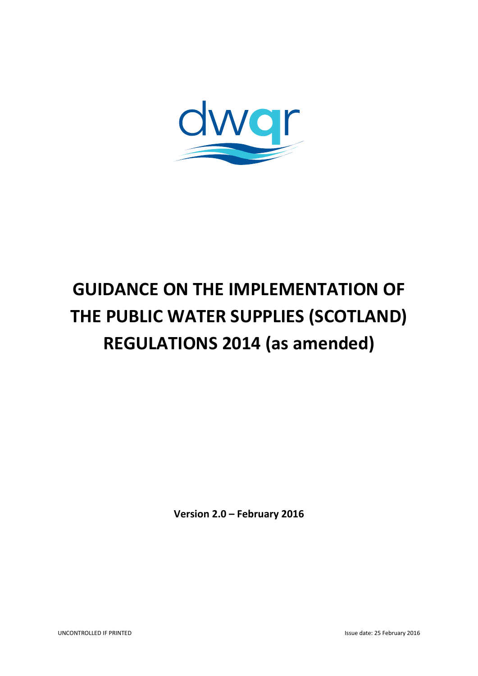

# **GUIDANCE ON THE IMPLEMENTATION OF THE PUBLIC WATER SUPPLIES (SCOTLAND) REGULATIONS 2014 (as amended)**

**Version 2.0 – February 2016**

UNCONTROLLED IF PRINTED **In the UNITED** issue date: 25 February 2016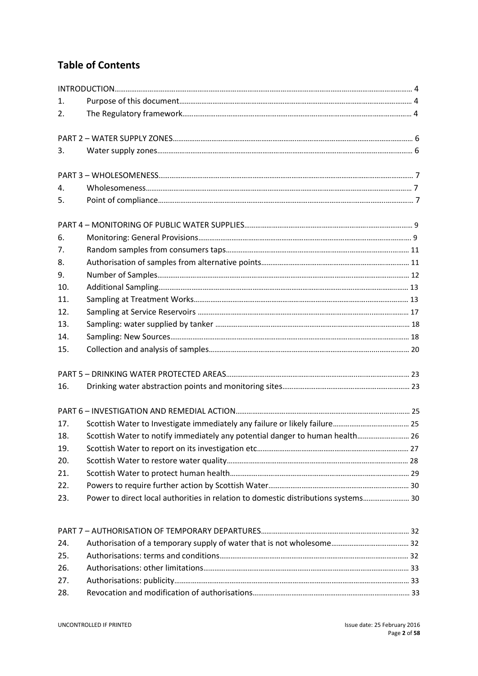## **Table of Contents**

| 1.  |                                                                                    |  |  |  |  |
|-----|------------------------------------------------------------------------------------|--|--|--|--|
| 2.  |                                                                                    |  |  |  |  |
|     |                                                                                    |  |  |  |  |
| 3.  |                                                                                    |  |  |  |  |
|     |                                                                                    |  |  |  |  |
| 4.  |                                                                                    |  |  |  |  |
| 5.  |                                                                                    |  |  |  |  |
|     |                                                                                    |  |  |  |  |
| 6.  |                                                                                    |  |  |  |  |
| 7.  |                                                                                    |  |  |  |  |
| 8.  |                                                                                    |  |  |  |  |
| 9.  |                                                                                    |  |  |  |  |
| 10. |                                                                                    |  |  |  |  |
| 11. |                                                                                    |  |  |  |  |
| 12. |                                                                                    |  |  |  |  |
| 13. |                                                                                    |  |  |  |  |
| 14. |                                                                                    |  |  |  |  |
| 15. |                                                                                    |  |  |  |  |
|     |                                                                                    |  |  |  |  |
| 16. |                                                                                    |  |  |  |  |
|     |                                                                                    |  |  |  |  |
| 17. |                                                                                    |  |  |  |  |
| 18. | Scottish Water to notify immediately any potential danger to human health 26       |  |  |  |  |
| 19. |                                                                                    |  |  |  |  |
| 20. |                                                                                    |  |  |  |  |
| 21. |                                                                                    |  |  |  |  |
| 22. |                                                                                    |  |  |  |  |
| 23. | Power to direct local authorities in relation to domestic distributions systems 30 |  |  |  |  |
|     |                                                                                    |  |  |  |  |
| 24. |                                                                                    |  |  |  |  |
| 25. |                                                                                    |  |  |  |  |
| 26. |                                                                                    |  |  |  |  |
| 27. |                                                                                    |  |  |  |  |
| 28. |                                                                                    |  |  |  |  |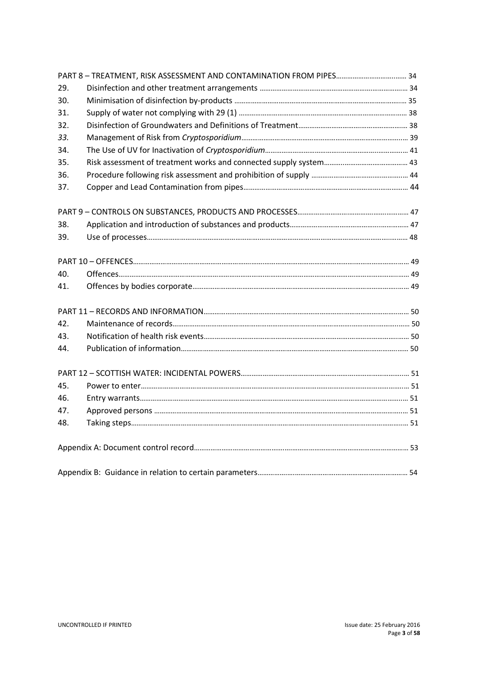| 29. |  |  |  |  |  |
|-----|--|--|--|--|--|
| 30. |  |  |  |  |  |
| 31. |  |  |  |  |  |
| 32. |  |  |  |  |  |
| 33. |  |  |  |  |  |
| 34. |  |  |  |  |  |
| 35. |  |  |  |  |  |
| 36. |  |  |  |  |  |
| 37. |  |  |  |  |  |
|     |  |  |  |  |  |
| 38. |  |  |  |  |  |
| 39. |  |  |  |  |  |
|     |  |  |  |  |  |
| 40. |  |  |  |  |  |
| 41. |  |  |  |  |  |
|     |  |  |  |  |  |
| 42. |  |  |  |  |  |
| 43. |  |  |  |  |  |
| 44. |  |  |  |  |  |
|     |  |  |  |  |  |
| 45. |  |  |  |  |  |
| 46. |  |  |  |  |  |
| 47. |  |  |  |  |  |
| 48. |  |  |  |  |  |
|     |  |  |  |  |  |
|     |  |  |  |  |  |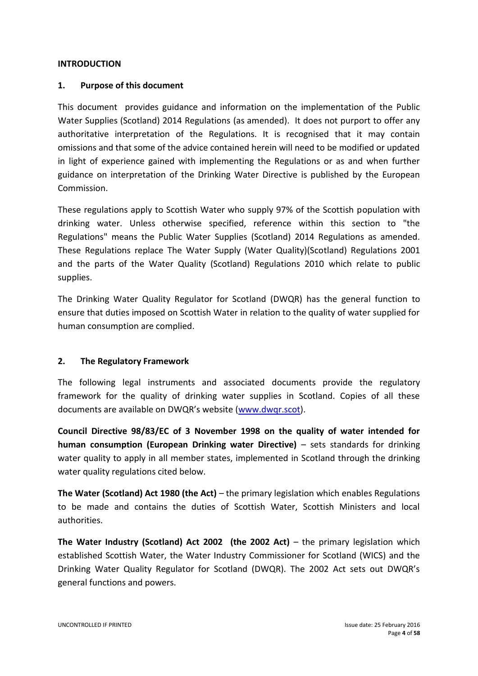#### **INTRODUCTION**

#### **1. Purpose of this document**

This document provides guidance and information on the implementation of the Public Water Supplies (Scotland) 2014 Regulations (as amended). It does not purport to offer any authoritative interpretation of the Regulations. It is recognised that it may contain omissions and that some of the advice contained herein will need to be modified or updated in light of experience gained with implementing the Regulations or as and when further guidance on interpretation of the Drinking Water Directive is published by the European Commission.

These regulations apply to Scottish Water who supply 97% of the Scottish population with drinking water. Unless otherwise specified, reference within this section to "the Regulations" means the Public Water Supplies (Scotland) 2014 Regulations as amended. These Regulations replace The Water Supply (Water Quality)(Scotland) Regulations 2001 and the parts of the Water Quality (Scotland) Regulations 2010 which relate to public supplies.

The Drinking Water Quality Regulator for Scotland (DWQR) has the general function to ensure that duties imposed on Scottish Water in relation to the quality of water supplied for human consumption are complied.

## **2. The Regulatory Framework**

The following legal instruments and associated documents provide the regulatory framework for the quality of drinking water supplies in Scotland. Copies of all these documents are available on DWQR's website ([www.dwqr.scot\)](http://www.dwqr.scot/).

**Council Directive 98/83/EC of 3 November 1998 on the quality of water intended for human consumption (European Drinking water Directive)** – sets standards for drinking water quality to apply in all member states, implemented in Scotland through the drinking water quality regulations cited below.

**The Water (Scotland) Act 1980 (the Act)** – the primary legislation which enables Regulations to be made and contains the duties of Scottish Water, Scottish Ministers and local authorities.

**The Water Industry (Scotland) Act 2002 (the 2002 Act)** – the primary legislation which established Scottish Water, the Water Industry Commissioner for Scotland (WICS) and the Drinking Water Quality Regulator for Scotland (DWQR). The 2002 Act sets out DWQR's general functions and powers.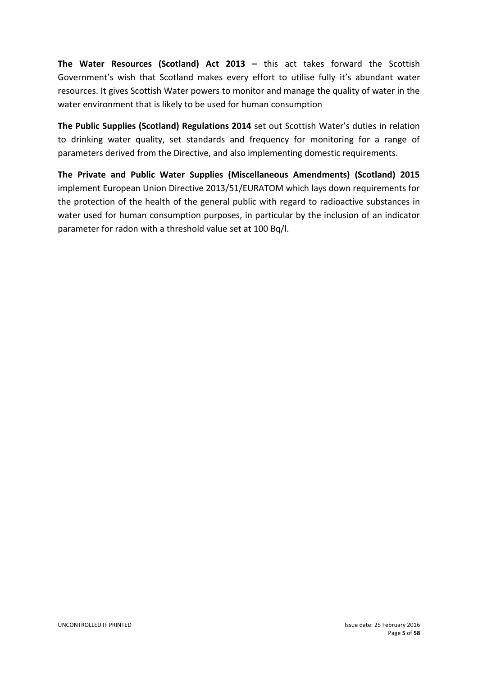**The Water Resources (Scotland) Act 2013 –** this act takes forward the Scottish Government's wish that Scotland makes every effort to utilise fully it's abundant water resources. It gives Scottish Water powers to monitor and manage the quality of water in the water environment that is likely to be used for human consumption

**The Public Supplies (Scotland) Regulations 2014** set out Scottish Water's duties in relation to drinking water quality, set standards and frequency for monitoring for a range of parameters derived from the Directive, and also implementing domestic requirements.

**The Private and Public Water Supplies (Miscellaneous Amendments) (Scotland) 2015** implement European Union Directive 2013/51/EURATOM which lays down requirements for the protection of the health of the general public with regard to radioactive substances in water used for human consumption purposes, in particular by the inclusion of an indicator parameter for radon with a threshold value set at 100 Bq/l.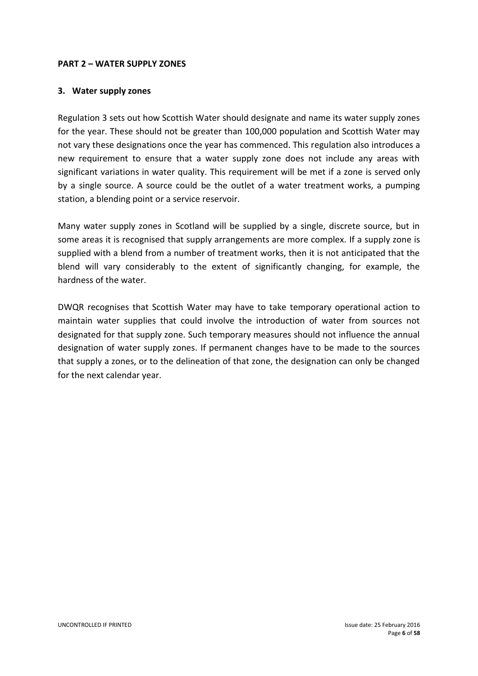#### **PART 2 – WATER SUPPLY ZONES**

#### **3. Water supply zones**

Regulation 3 sets out how Scottish Water should designate and name its water supply zones for the year. These should not be greater than 100,000 population and Scottish Water may not vary these designations once the year has commenced. This regulation also introduces a new requirement to ensure that a water supply zone does not include any areas with significant variations in water quality. This requirement will be met if a zone is served only by a single source. A source could be the outlet of a water treatment works, a pumping station, a blending point or a service reservoir.

Many water supply zones in Scotland will be supplied by a single, discrete source, but in some areas it is recognised that supply arrangements are more complex. If a supply zone is supplied with a blend from a number of treatment works, then it is not anticipated that the blend will vary considerably to the extent of significantly changing, for example, the hardness of the water.

DWQR recognises that Scottish Water may have to take temporary operational action to maintain water supplies that could involve the introduction of water from sources not designated for that supply zone. Such temporary measures should not influence the annual designation of water supply zones. If permanent changes have to be made to the sources that supply a zones, or to the delineation of that zone, the designation can only be changed for the next calendar year.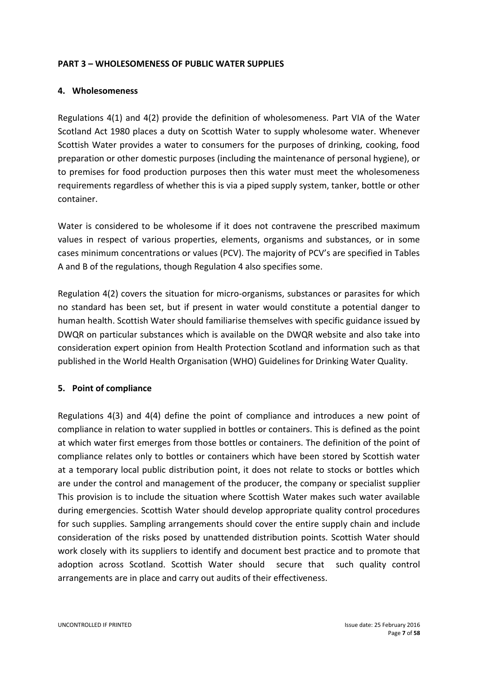#### **PART 3 – WHOLESOMENESS OF PUBLIC WATER SUPPLIES**

#### **4. Wholesomeness**

Regulations 4(1) and 4(2) provide the definition of wholesomeness. Part VIA of the Water Scotland Act 1980 places a duty on Scottish Water to supply wholesome water. Whenever Scottish Water provides a water to consumers for the purposes of drinking, cooking, food preparation or other domestic purposes (including the maintenance of personal hygiene), or to premises for food production purposes then this water must meet the wholesomeness requirements regardless of whether this is via a piped supply system, tanker, bottle or other container.

Water is considered to be wholesome if it does not contravene the prescribed maximum values in respect of various properties, elements, organisms and substances, or in some cases minimum concentrations or values (PCV). The majority of PCV's are specified in Tables A and B of the regulations, though Regulation 4 also specifies some.

Regulation 4(2) covers the situation for micro-organisms, substances or parasites for which no standard has been set, but if present in water would constitute a potential danger to human health. Scottish Water should familiarise themselves with specific guidance issued by DWQR on particular substances which is available on the DWQR website and also take into consideration expert opinion from Health Protection Scotland and information such as that published in the World Health Organisation (WHO) Guidelines for Drinking Water Quality.

## **5. Point of compliance**

Regulations 4(3) and 4(4) define the point of compliance and introduces a new point of compliance in relation to water supplied in bottles or containers. This is defined as the point at which water first emerges from those bottles or containers. The definition of the point of compliance relates only to bottles or containers which have been stored by Scottish water at a temporary local public distribution point, it does not relate to stocks or bottles which are under the control and management of the producer, the company or specialist supplier This provision is to include the situation where Scottish Water makes such water available during emergencies. Scottish Water should develop appropriate quality control procedures for such supplies. Sampling arrangements should cover the entire supply chain and include consideration of the risks posed by unattended distribution points. Scottish Water should work closely with its suppliers to identify and document best practice and to promote that adoption across Scotland. Scottish Water should secure that such quality control arrangements are in place and carry out audits of their effectiveness.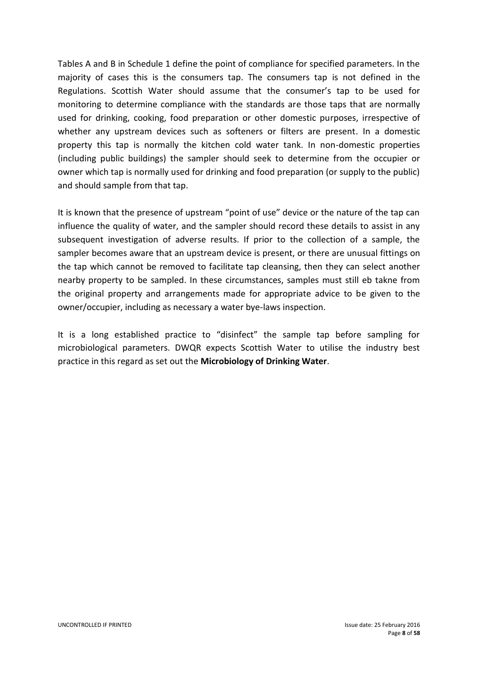Tables A and B in Schedule 1 define the point of compliance for specified parameters. In the majority of cases this is the consumers tap. The consumers tap is not defined in the Regulations. Scottish Water should assume that the consumer's tap to be used for monitoring to determine compliance with the standards are those taps that are normally used for drinking, cooking, food preparation or other domestic purposes, irrespective of whether any upstream devices such as softeners or filters are present. In a domestic property this tap is normally the kitchen cold water tank. In non-domestic properties (including public buildings) the sampler should seek to determine from the occupier or owner which tap is normally used for drinking and food preparation (or supply to the public) and should sample from that tap.

It is known that the presence of upstream "point of use" device or the nature of the tap can influence the quality of water, and the sampler should record these details to assist in any subsequent investigation of adverse results. If prior to the collection of a sample, the sampler becomes aware that an upstream device is present, or there are unusual fittings on the tap which cannot be removed to facilitate tap cleansing, then they can select another nearby property to be sampled. In these circumstances, samples must still eb takne from the original property and arrangements made for appropriate advice to be given to the owner/occupier, including as necessary a water bye-laws inspection.

It is a long established practice to "disinfect" the sample tap before sampling for microbiological parameters. DWQR expects Scottish Water to utilise the industry best practice in this regard as set out the **Microbiology of Drinking Water**.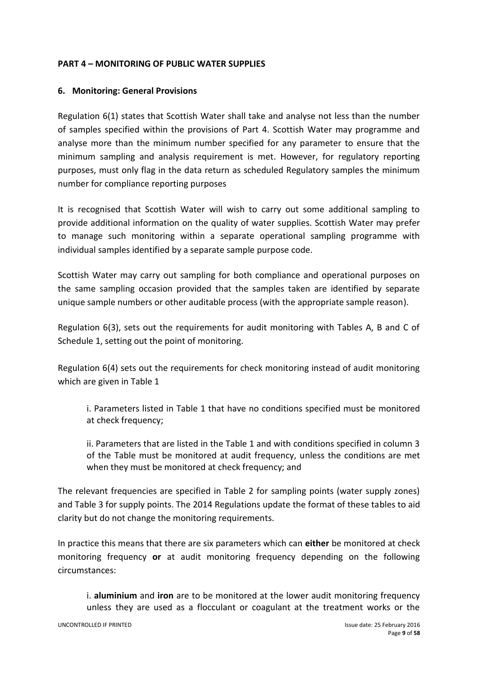#### **PART 4 – MONITORING OF PUBLIC WATER SUPPLIES**

#### **6. Monitoring: General Provisions**

Regulation 6(1) states that Scottish Water shall take and analyse not less than the number of samples specified within the provisions of Part 4. Scottish Water may programme and analyse more than the minimum number specified for any parameter to ensure that the minimum sampling and analysis requirement is met. However, for regulatory reporting purposes, must only flag in the data return as scheduled Regulatory samples the minimum number for compliance reporting purposes

It is recognised that Scottish Water will wish to carry out some additional sampling to provide additional information on the quality of water supplies. Scottish Water may prefer to manage such monitoring within a separate operational sampling programme with individual samples identified by a separate sample purpose code.

Scottish Water may carry out sampling for both compliance and operational purposes on the same sampling occasion provided that the samples taken are identified by separate unique sample numbers or other auditable process (with the appropriate sample reason).

Regulation 6(3), sets out the requirements for audit monitoring with Tables A, B and C of Schedule 1, setting out the point of monitoring.

Regulation 6(4) sets out the requirements for check monitoring instead of audit monitoring which are given in Table 1

i. Parameters listed in Table 1 that have no conditions specified must be monitored at check frequency:

ii. Parameters that are listed in the Table 1 and with conditions specified in column 3 of the Table must be monitored at audit frequency, unless the conditions are met when they must be monitored at check frequency; and

The relevant frequencies are specified in Table 2 for sampling points (water supply zones) and Table 3 for supply points. The 2014 Regulations update the format of these tables to aid clarity but do not change the monitoring requirements.

In practice this means that there are six parameters which can **either** be monitored at check monitoring frequency **or** at audit monitoring frequency depending on the following circumstances:

i. **aluminium** and **iron** are to be monitored at the lower audit monitoring frequency unless they are used as a flocculant or coagulant at the treatment works or the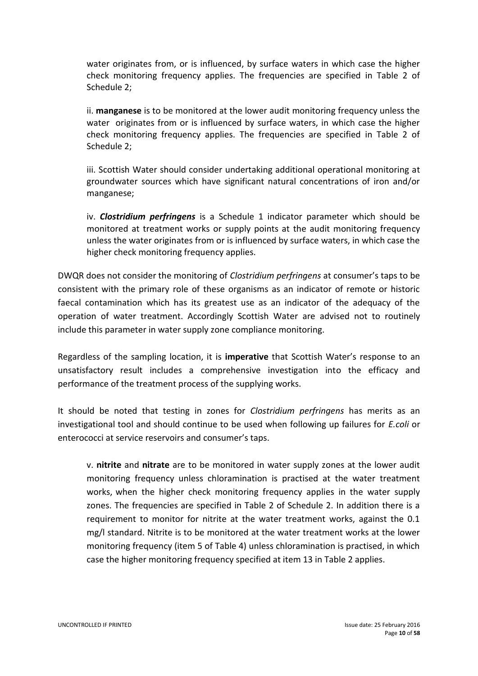water originates from, or is influenced, by surface waters in which case the higher check monitoring frequency applies. The frequencies are specified in Table 2 of Schedule 2;

ii. **manganese** is to be monitored at the lower audit monitoring frequency unless the water originates from or is influenced by surface waters, in which case the higher check monitoring frequency applies. The frequencies are specified in Table 2 of Schedule 2;

iii. Scottish Water should consider undertaking additional operational monitoring at groundwater sources which have significant natural concentrations of iron and/or manganese;

iv. *Clostridium perfringens* is a Schedule 1 indicator parameter which should be monitored at treatment works or supply points at the audit monitoring frequency unless the water originates from or is influenced by surface waters, in which case the higher check monitoring frequency applies.

DWQR does not consider the monitoring of *Clostridium perfringens* at consumer's taps to be consistent with the primary role of these organisms as an indicator of remote or historic faecal contamination which has its greatest use as an indicator of the adequacy of the operation of water treatment. Accordingly Scottish Water are advised not to routinely include this parameter in water supply zone compliance monitoring.

Regardless of the sampling location, it is **imperative** that Scottish Water's response to an unsatisfactory result includes a comprehensive investigation into the efficacy and performance of the treatment process of the supplying works.

It should be noted that testing in zones for *Clostridium perfringens* has merits as an investigational tool and should continue to be used when following up failures for *E.coli* or enterococci at service reservoirs and consumer's taps.

v. **nitrite** and **nitrate** are to be monitored in water supply zones at the lower audit monitoring frequency unless chloramination is practised at the water treatment works, when the higher check monitoring frequency applies in the water supply zones. The frequencies are specified in Table 2 of Schedule 2. In addition there is a requirement to monitor for nitrite at the water treatment works, against the 0.1 mg/l standard. Nitrite is to be monitored at the water treatment works at the lower monitoring frequency (item 5 of Table 4) unless chloramination is practised, in which case the higher monitoring frequency specified at item 13 in Table 2 applies.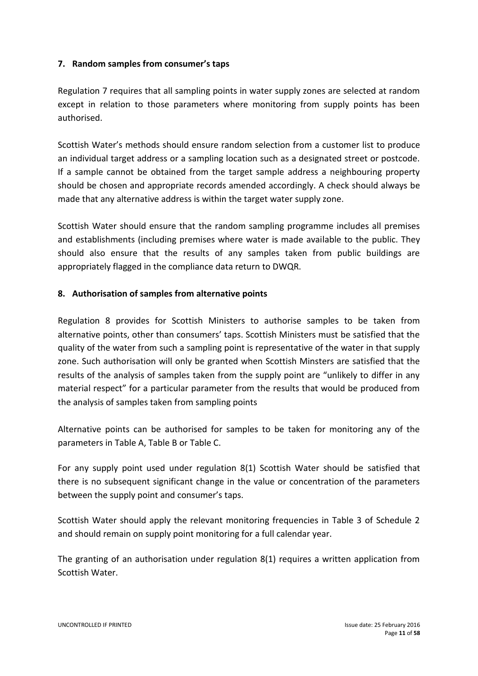#### **7. Random samples from consumer's taps**

Regulation 7 requires that all sampling points in water supply zones are selected at random except in relation to those parameters where monitoring from supply points has been authorised.

Scottish Water's methods should ensure random selection from a customer list to produce an individual target address or a sampling location such as a designated street or postcode. If a sample cannot be obtained from the target sample address a neighbouring property should be chosen and appropriate records amended accordingly. A check should always be made that any alternative address is within the target water supply zone.

Scottish Water should ensure that the random sampling programme includes all premises and establishments (including premises where water is made available to the public. They should also ensure that the results of any samples taken from public buildings are appropriately flagged in the compliance data return to DWQR.

#### **8. Authorisation of samples from alternative points**

Regulation 8 provides for Scottish Ministers to authorise samples to be taken from alternative points, other than consumers' taps. Scottish Ministers must be satisfied that the quality of the water from such a sampling point is representative of the water in that supply zone. Such authorisation will only be granted when Scottish Minsters are satisfied that the results of the analysis of samples taken from the supply point are "unlikely to differ in any material respect" for a particular parameter from the results that would be produced from the analysis of samples taken from sampling points

Alternative points can be authorised for samples to be taken for monitoring any of the parameters in Table A, Table B or Table C.

For any supply point used under regulation 8(1) Scottish Water should be satisfied that there is no subsequent significant change in the value or concentration of the parameters between the supply point and consumer's taps.

Scottish Water should apply the relevant monitoring frequencies in Table 3 of Schedule 2 and should remain on supply point monitoring for a full calendar year.

The granting of an authorisation under regulation 8(1) requires a written application from Scottish Water.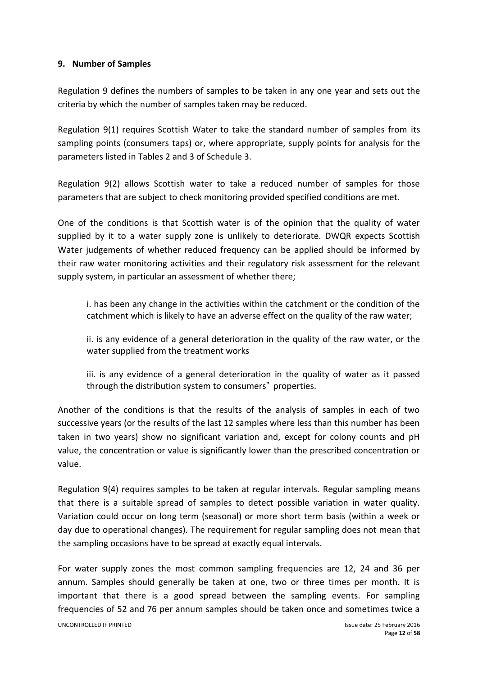#### **9. Number of Samples**

Regulation 9 defines the numbers of samples to be taken in any one year and sets out the criteria by which the number of samples taken may be reduced.

Regulation 9(1) requires Scottish Water to take the standard number of samples from its sampling points (consumers taps) or, where appropriate, supply points for analysis for the parameters listed in Tables 2 and 3 of Schedule 3.

Regulation 9(2) allows Scottish water to take a reduced number of samples for those parameters that are subject to check monitoring provided specified conditions are met.

One of the conditions is that Scottish water is of the opinion that the quality of water supplied by it to a water supply zone is unlikely to deteriorate. DWQR expects Scottish Water judgements of whether reduced frequency can be applied should be informed by their raw water monitoring activities and their regulatory risk assessment for the relevant supply system, in particular an assessment of whether there;

i. has been any change in the activities within the catchment or the condition of the catchment which is likely to have an adverse effect on the quality of the raw water;

ii. is any evidence of a general deterioration in the quality of the raw water, or the water supplied from the treatment works

iii. is any evidence of a general deterioration in the quality of water as it passed through the distribution system to consumers" properties.

Another of the conditions is that the results of the analysis of samples in each of two successive years (or the results of the last 12 samples where less than this number has been taken in two years) show no significant variation and, except for colony counts and pH value, the concentration or value is significantly lower than the prescribed concentration or value.

Regulation 9(4) requires samples to be taken at regular intervals. Regular sampling means that there is a suitable spread of samples to detect possible variation in water quality. Variation could occur on long term (seasonal) or more short term basis (within a week or day due to operational changes). The requirement for regular sampling does not mean that the sampling occasions have to be spread at exactly equal intervals.

For water supply zones the most common sampling frequencies are 12, 24 and 36 per annum. Samples should generally be taken at one, two or three times per month. It is important that there is a good spread between the sampling events. For sampling frequencies of 52 and 76 per annum samples should be taken once and sometimes twice a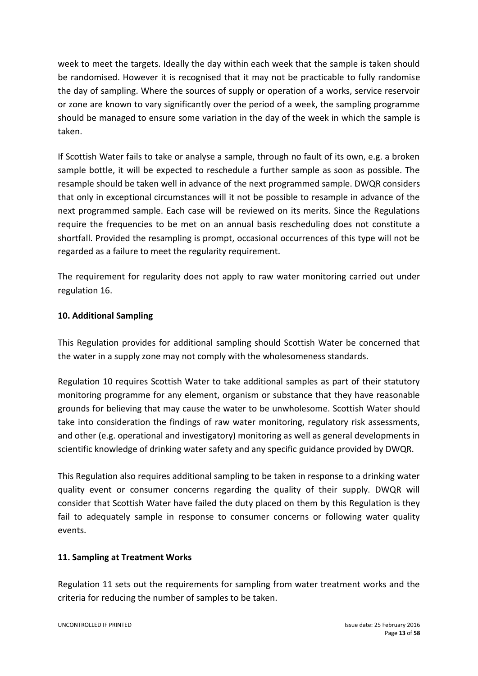week to meet the targets. Ideally the day within each week that the sample is taken should be randomised. However it is recognised that it may not be practicable to fully randomise the day of sampling. Where the sources of supply or operation of a works, service reservoir or zone are known to vary significantly over the period of a week, the sampling programme should be managed to ensure some variation in the day of the week in which the sample is taken.

If Scottish Water fails to take or analyse a sample, through no fault of its own, e.g. a broken sample bottle, it will be expected to reschedule a further sample as soon as possible. The resample should be taken well in advance of the next programmed sample. DWQR considers that only in exceptional circumstances will it not be possible to resample in advance of the next programmed sample. Each case will be reviewed on its merits. Since the Regulations require the frequencies to be met on an annual basis rescheduling does not constitute a shortfall. Provided the resampling is prompt, occasional occurrences of this type will not be regarded as a failure to meet the regularity requirement.

The requirement for regularity does not apply to raw water monitoring carried out under regulation 16.

## **10. Additional Sampling**

This Regulation provides for additional sampling should Scottish Water be concerned that the water in a supply zone may not comply with the wholesomeness standards.

Regulation 10 requires Scottish Water to take additional samples as part of their statutory monitoring programme for any element, organism or substance that they have reasonable grounds for believing that may cause the water to be unwholesome. Scottish Water should take into consideration the findings of raw water monitoring, regulatory risk assessments, and other (e.g. operational and investigatory) monitoring as well as general developments in scientific knowledge of drinking water safety and any specific guidance provided by DWQR.

This Regulation also requires additional sampling to be taken in response to a drinking water quality event or consumer concerns regarding the quality of their supply. DWQR will consider that Scottish Water have failed the duty placed on them by this Regulation is they fail to adequately sample in response to consumer concerns or following water quality events.

## **11. Sampling at Treatment Works**

Regulation 11 sets out the requirements for sampling from water treatment works and the criteria for reducing the number of samples to be taken.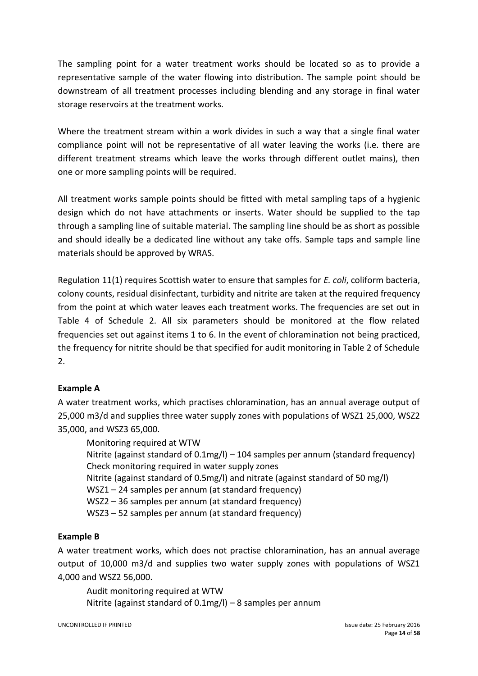The sampling point for a water treatment works should be located so as to provide a representative sample of the water flowing into distribution. The sample point should be downstream of all treatment processes including blending and any storage in final water storage reservoirs at the treatment works.

Where the treatment stream within a work divides in such a way that a single final water compliance point will not be representative of all water leaving the works (i.e. there are different treatment streams which leave the works through different outlet mains), then one or more sampling points will be required.

All treatment works sample points should be fitted with metal sampling taps of a hygienic design which do not have attachments or inserts. Water should be supplied to the tap through a sampling line of suitable material. The sampling line should be as short as possible and should ideally be a dedicated line without any take offs. Sample taps and sample line materials should be approved by WRAS.

Regulation 11(1) requires Scottish water to ensure that samples for *E. coli*, coliform bacteria, colony counts, residual disinfectant, turbidity and nitrite are taken at the required frequency from the point at which water leaves each treatment works. The frequencies are set out in Table 4 of Schedule 2. All six parameters should be monitored at the flow related frequencies set out against items 1 to 6. In the event of chloramination not being practiced, the frequency for nitrite should be that specified for audit monitoring in Table 2 of Schedule 2.

## **Example A**

A water treatment works, which practises chloramination, has an annual average output of 25,000 m3/d and supplies three water supply zones with populations of WSZ1 25,000, WSZ2 35,000, and WSZ3 65,000.

Monitoring required at WTW Nitrite (against standard of 0.1mg/l) – 104 samples per annum (standard frequency) Check monitoring required in water supply zones Nitrite (against standard of 0.5mg/l) and nitrate (against standard of 50 mg/l) WSZ1 – 24 samples per annum (at standard frequency) WSZ2 – 36 samples per annum (at standard frequency) WSZ3 – 52 samples per annum (at standard frequency)

## **Example B**

A water treatment works, which does not practise chloramination, has an annual average output of 10,000 m3/d and supplies two water supply zones with populations of WSZ1 4,000 and WSZ2 56,000.

Audit monitoring required at WTW Nitrite (against standard of 0.1mg/l) – 8 samples per annum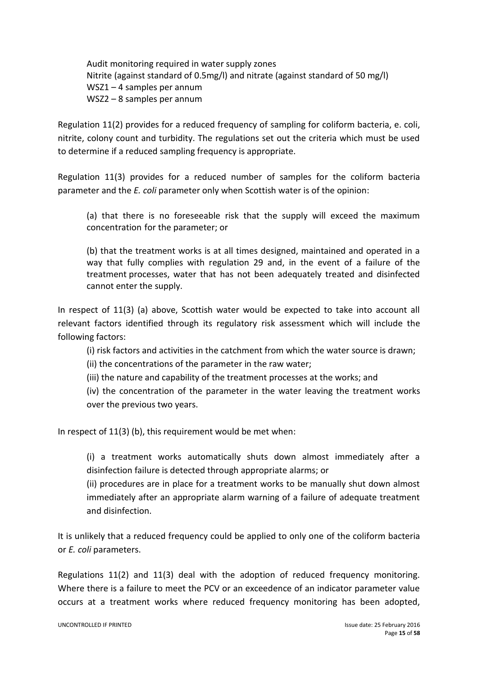Audit monitoring required in water supply zones Nitrite (against standard of 0.5mg/l) and nitrate (against standard of 50 mg/l) WSZ1 – 4 samples per annum WSZ2 – 8 samples per annum

Regulation 11(2) provides for a reduced frequency of sampling for coliform bacteria, e. coli, nitrite, colony count and turbidity. The regulations set out the criteria which must be used to determine if a reduced sampling frequency is appropriate.

Regulation 11(3) provides for a reduced number of samples for the coliform bacteria parameter and the *E. coli* parameter only when Scottish water is of the opinion:

(a) that there is no foreseeable risk that the supply will exceed the maximum concentration for the parameter; or

(b) that the treatment works is at all times designed, maintained and operated in a way that fully complies with regulation 29 and, in the event of a failure of the treatment processes, water that has not been adequately treated and disinfected cannot enter the supply.

In respect of 11(3) (a) above, Scottish water would be expected to take into account all relevant factors identified through its regulatory risk assessment which will include the following factors:

(i) risk factors and activities in the catchment from which the water source is drawn;

(ii) the concentrations of the parameter in the raw water;

(iii) the nature and capability of the treatment processes at the works; and

(iv) the concentration of the parameter in the water leaving the treatment works over the previous two years.

In respect of 11(3) (b), this requirement would be met when:

(i) a treatment works automatically shuts down almost immediately after a disinfection failure is detected through appropriate alarms; or

(ii) procedures are in place for a treatment works to be manually shut down almost immediately after an appropriate alarm warning of a failure of adequate treatment and disinfection.

It is unlikely that a reduced frequency could be applied to only one of the coliform bacteria or *E. coli* parameters.

Regulations 11(2) and 11(3) deal with the adoption of reduced frequency monitoring. Where there is a failure to meet the PCV or an exceedence of an indicator parameter value occurs at a treatment works where reduced frequency monitoring has been adopted,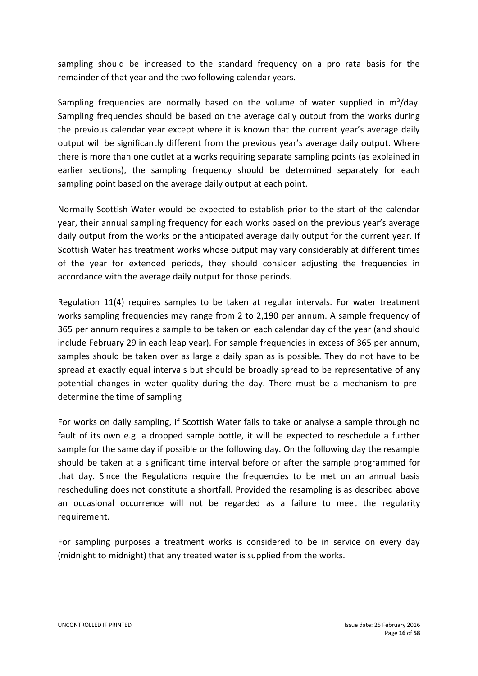sampling should be increased to the standard frequency on a pro rata basis for the remainder of that year and the two following calendar years.

Sampling frequencies are normally based on the volume of water supplied in  $m^3/d$ ay. Sampling frequencies should be based on the average daily output from the works during the previous calendar year except where it is known that the current year's average daily output will be significantly different from the previous year's average daily output. Where there is more than one outlet at a works requiring separate sampling points (as explained in earlier sections), the sampling frequency should be determined separately for each sampling point based on the average daily output at each point.

Normally Scottish Water would be expected to establish prior to the start of the calendar year, their annual sampling frequency for each works based on the previous year's average daily output from the works or the anticipated average daily output for the current year. If Scottish Water has treatment works whose output may vary considerably at different times of the year for extended periods, they should consider adjusting the frequencies in accordance with the average daily output for those periods.

Regulation 11(4) requires samples to be taken at regular intervals. For water treatment works sampling frequencies may range from 2 to 2,190 per annum. A sample frequency of 365 per annum requires a sample to be taken on each calendar day of the year (and should include February 29 in each leap year). For sample frequencies in excess of 365 per annum, samples should be taken over as large a daily span as is possible. They do not have to be spread at exactly equal intervals but should be broadly spread to be representative of any potential changes in water quality during the day. There must be a mechanism to predetermine the time of sampling

For works on daily sampling, if Scottish Water fails to take or analyse a sample through no fault of its own e.g. a dropped sample bottle, it will be expected to reschedule a further sample for the same day if possible or the following day. On the following day the resample should be taken at a significant time interval before or after the sample programmed for that day. Since the Regulations require the frequencies to be met on an annual basis rescheduling does not constitute a shortfall. Provided the resampling is as described above an occasional occurrence will not be regarded as a failure to meet the regularity requirement.

For sampling purposes a treatment works is considered to be in service on every day (midnight to midnight) that any treated water is supplied from the works.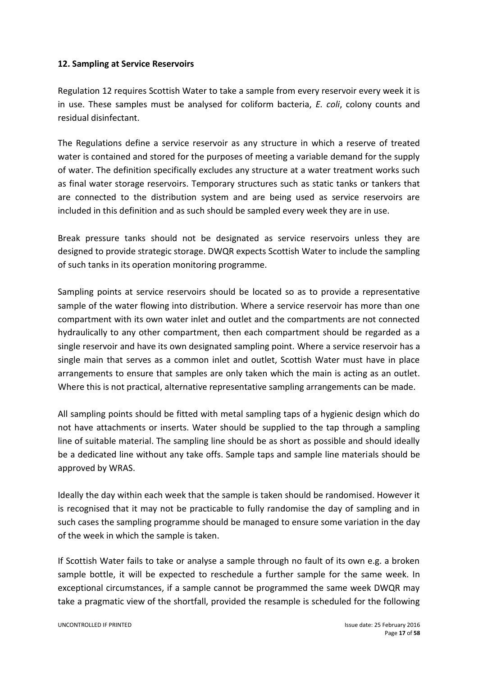#### **12. Sampling at Service Reservoirs**

Regulation 12 requires Scottish Water to take a sample from every reservoir every week it is in use. These samples must be analysed for coliform bacteria, *E. coli*, colony counts and residual disinfectant.

The Regulations define a service reservoir as any structure in which a reserve of treated water is contained and stored for the purposes of meeting a variable demand for the supply of water. The definition specifically excludes any structure at a water treatment works such as final water storage reservoirs. Temporary structures such as static tanks or tankers that are connected to the distribution system and are being used as service reservoirs are included in this definition and as such should be sampled every week they are in use.

Break pressure tanks should not be designated as service reservoirs unless they are designed to provide strategic storage. DWQR expects Scottish Water to include the sampling of such tanks in its operation monitoring programme.

Sampling points at service reservoirs should be located so as to provide a representative sample of the water flowing into distribution. Where a service reservoir has more than one compartment with its own water inlet and outlet and the compartments are not connected hydraulically to any other compartment, then each compartment should be regarded as a single reservoir and have its own designated sampling point. Where a service reservoir has a single main that serves as a common inlet and outlet, Scottish Water must have in place arrangements to ensure that samples are only taken which the main is acting as an outlet. Where this is not practical, alternative representative sampling arrangements can be made.

All sampling points should be fitted with metal sampling taps of a hygienic design which do not have attachments or inserts. Water should be supplied to the tap through a sampling line of suitable material. The sampling line should be as short as possible and should ideally be a dedicated line without any take offs. Sample taps and sample line materials should be approved by WRAS.

Ideally the day within each week that the sample is taken should be randomised. However it is recognised that it may not be practicable to fully randomise the day of sampling and in such cases the sampling programme should be managed to ensure some variation in the day of the week in which the sample is taken.

If Scottish Water fails to take or analyse a sample through no fault of its own e.g. a broken sample bottle, it will be expected to reschedule a further sample for the same week. In exceptional circumstances, if a sample cannot be programmed the same week DWQR may take a pragmatic view of the shortfall, provided the resample is scheduled for the following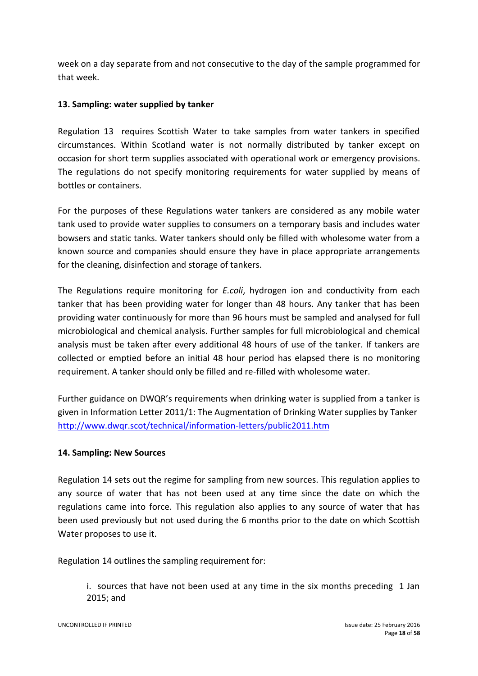week on a day separate from and not consecutive to the day of the sample programmed for that week.

## **13. Sampling: water supplied by tanker**

Regulation 13 requires Scottish Water to take samples from water tankers in specified circumstances. Within Scotland water is not normally distributed by tanker except on occasion for short term supplies associated with operational work or emergency provisions. The regulations do not specify monitoring requirements for water supplied by means of bottles or containers.

For the purposes of these Regulations water tankers are considered as any mobile water tank used to provide water supplies to consumers on a temporary basis and includes water bowsers and static tanks. Water tankers should only be filled with wholesome water from a known source and companies should ensure they have in place appropriate arrangements for the cleaning, disinfection and storage of tankers.

The Regulations require monitoring for *E.coli*, hydrogen ion and conductivity from each tanker that has been providing water for longer than 48 hours. Any tanker that has been providing water continuously for more than 96 hours must be sampled and analysed for full microbiological and chemical analysis. Further samples for full microbiological and chemical analysis must be taken after every additional 48 hours of use of the tanker. If tankers are collected or emptied before an initial 48 hour period has elapsed there is no monitoring requirement. A tanker should only be filled and re-filled with wholesome water.

Further guidance on DWQR's requirements when drinking water is supplied from a tanker is given in Information Letter 2011/1: The Augmentation of Drinking Water supplies by Tanker <http://www.dwqr.scot/technical/information-letters/public2011.htm>

#### **14. Sampling: New Sources**

Regulation 14 sets out the regime for sampling from new sources. This regulation applies to any source of water that has not been used at any time since the date on which the regulations came into force. This regulation also applies to any source of water that has been used previously but not used during the 6 months prior to the date on which Scottish Water proposes to use it.

Regulation 14 outlines the sampling requirement for:

i. sources that have not been used at any time in the six months preceding 1 Jan 2015; and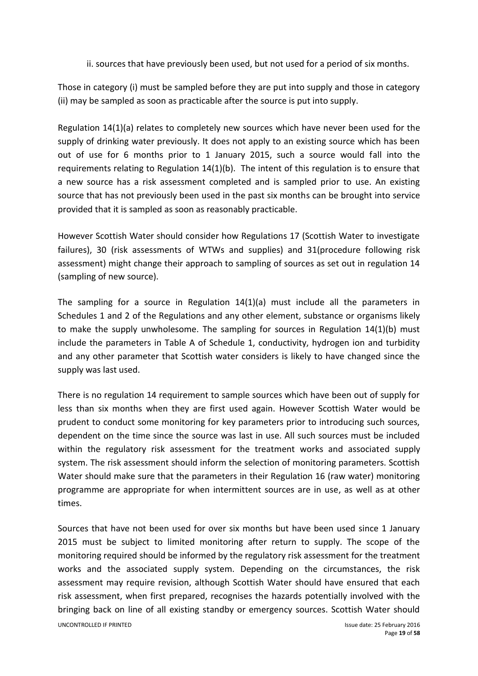ii. sources that have previously been used, but not used for a period of six months.

Those in category (i) must be sampled before they are put into supply and those in category (ii) may be sampled as soon as practicable after the source is put into supply.

Regulation 14(1)(a) relates to completely new sources which have never been used for the supply of drinking water previously. It does not apply to an existing source which has been out of use for 6 months prior to 1 January 2015, such a source would fall into the requirements relating to Regulation 14(1)(b). The intent of this regulation is to ensure that a new source has a risk assessment completed and is sampled prior to use. An existing source that has not previously been used in the past six months can be brought into service provided that it is sampled as soon as reasonably practicable.

However Scottish Water should consider how Regulations 17 (Scottish Water to investigate failures), 30 (risk assessments of WTWs and supplies) and 31(procedure following risk assessment) might change their approach to sampling of sources as set out in regulation 14 (sampling of new source).

The sampling for a source in Regulation 14(1)(a) must include all the parameters in Schedules 1 and 2 of the Regulations and any other element, substance or organisms likely to make the supply unwholesome. The sampling for sources in Regulation 14(1)(b) must include the parameters in Table A of Schedule 1, conductivity, hydrogen ion and turbidity and any other parameter that Scottish water considers is likely to have changed since the supply was last used.

There is no regulation 14 requirement to sample sources which have been out of supply for less than six months when they are first used again. However Scottish Water would be prudent to conduct some monitoring for key parameters prior to introducing such sources, dependent on the time since the source was last in use. All such sources must be included within the regulatory risk assessment for the treatment works and associated supply system. The risk assessment should inform the selection of monitoring parameters. Scottish Water should make sure that the parameters in their Regulation 16 (raw water) monitoring programme are appropriate for when intermittent sources are in use, as well as at other times.

UNCONTROLLED IF PRINTED **Internal and CONTROLLED** IF PRINTED **internal and CONTROLLED** IF PRINTED Sources that have not been used for over six months but have been used since 1 January 2015 must be subject to limited monitoring after return to supply. The scope of the monitoring required should be informed by the regulatory risk assessment for the treatment works and the associated supply system. Depending on the circumstances, the risk assessment may require revision, although Scottish Water should have ensured that each risk assessment, when first prepared, recognises the hazards potentially involved with the bringing back on line of all existing standby or emergency sources. Scottish Water should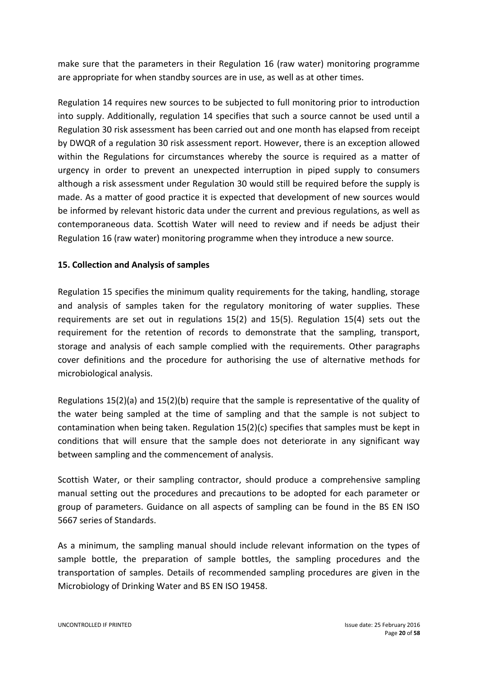make sure that the parameters in their Regulation 16 (raw water) monitoring programme are appropriate for when standby sources are in use, as well as at other times.

Regulation 14 requires new sources to be subjected to full monitoring prior to introduction into supply. Additionally, regulation 14 specifies that such a source cannot be used until a Regulation 30 risk assessment has been carried out and one month has elapsed from receipt by DWQR of a regulation 30 risk assessment report. However, there is an exception allowed within the Regulations for circumstances whereby the source is required as a matter of urgency in order to prevent an unexpected interruption in piped supply to consumers although a risk assessment under Regulation 30 would still be required before the supply is made. As a matter of good practice it is expected that development of new sources would be informed by relevant historic data under the current and previous regulations, as well as contemporaneous data. Scottish Water will need to review and if needs be adjust their Regulation 16 (raw water) monitoring programme when they introduce a new source.

#### **15. Collection and Analysis of samples**

Regulation 15 specifies the minimum quality requirements for the taking, handling, storage and analysis of samples taken for the regulatory monitoring of water supplies. These requirements are set out in regulations 15(2) and 15(5). Regulation 15(4) sets out the requirement for the retention of records to demonstrate that the sampling, transport, storage and analysis of each sample complied with the requirements. Other paragraphs cover definitions and the procedure for authorising the use of alternative methods for microbiological analysis.

Regulations 15(2)(a) and 15(2)(b) require that the sample is representative of the quality of the water being sampled at the time of sampling and that the sample is not subject to contamination when being taken. Regulation 15(2)(c) specifies that samples must be kept in conditions that will ensure that the sample does not deteriorate in any significant way between sampling and the commencement of analysis.

Scottish Water, or their sampling contractor, should produce a comprehensive sampling manual setting out the procedures and precautions to be adopted for each parameter or group of parameters. Guidance on all aspects of sampling can be found in the BS EN ISO 5667 series of Standards.

As a minimum, the sampling manual should include relevant information on the types of sample bottle, the preparation of sample bottles, the sampling procedures and the transportation of samples. Details of recommended sampling procedures are given in the Microbiology of Drinking Water and BS EN ISO 19458.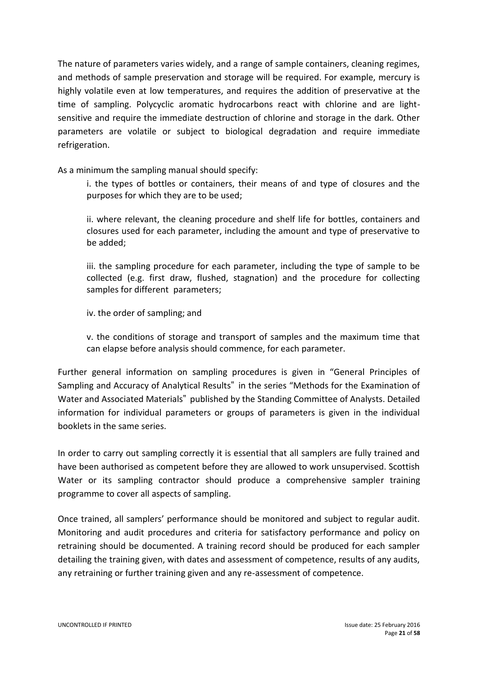The nature of parameters varies widely, and a range of sample containers, cleaning regimes, and methods of sample preservation and storage will be required. For example, mercury is highly volatile even at low temperatures, and requires the addition of preservative at the time of sampling. Polycyclic aromatic hydrocarbons react with chlorine and are lightsensitive and require the immediate destruction of chlorine and storage in the dark. Other parameters are volatile or subject to biological degradation and require immediate refrigeration.

As a minimum the sampling manual should specify:

i. the types of bottles or containers, their means of and type of closures and the purposes for which they are to be used;

ii. where relevant, the cleaning procedure and shelf life for bottles, containers and closures used for each parameter, including the amount and type of preservative to be added;

iii. the sampling procedure for each parameter, including the type of sample to be collected (e.g. first draw, flushed, stagnation) and the procedure for collecting samples for different parameters;

iv. the order of sampling; and

v. the conditions of storage and transport of samples and the maximum time that can elapse before analysis should commence, for each parameter.

Further general information on sampling procedures is given in "General Principles of Sampling and Accuracy of Analytical Results" in the series "Methods for the Examination of Water and Associated Materials" published by the Standing Committee of Analysts. Detailed information for individual parameters or groups of parameters is given in the individual booklets in the same series.

In order to carry out sampling correctly it is essential that all samplers are fully trained and have been authorised as competent before they are allowed to work unsupervised. Scottish Water or its sampling contractor should produce a comprehensive sampler training programme to cover all aspects of sampling.

Once trained, all samplers' performance should be monitored and subject to regular audit. Monitoring and audit procedures and criteria for satisfactory performance and policy on retraining should be documented. A training record should be produced for each sampler detailing the training given, with dates and assessment of competence, results of any audits, any retraining or further training given and any re-assessment of competence.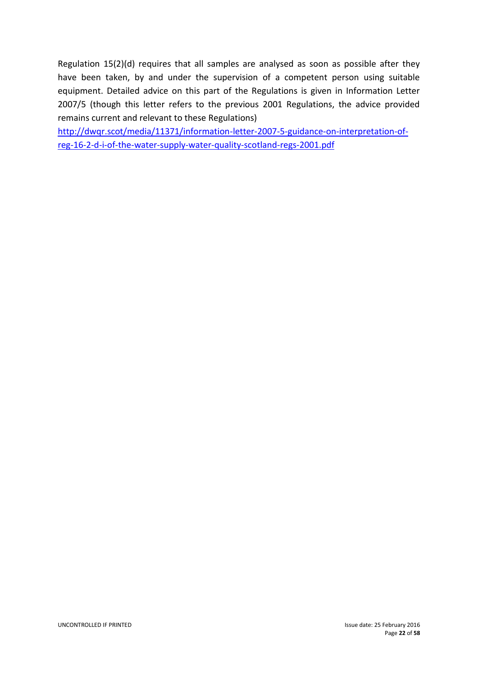Regulation 15(2)(d) requires that all samples are analysed as soon as possible after they have been taken, by and under the supervision of a competent person using suitable equipment. Detailed advice on this part of the Regulations is given in Information Letter 2007/5 (though this letter refers to the previous 2001 Regulations, the advice provided remains current and relevant to these Regulations)

[http://dwqr.scot/media/11371/information-letter-2007-5-guidance-on-interpretation-of](http://dwqr.scot/media/11371/information-letter-2007-5-guidance-on-interpretation-of-reg-16-2-d-i-of-the-water-supply-water-quality-scotland-regs-2001.pdf)[reg-16-2-d-i-of-the-water-supply-water-quality-scotland-regs-2001.pdf](http://dwqr.scot/media/11371/information-letter-2007-5-guidance-on-interpretation-of-reg-16-2-d-i-of-the-water-supply-water-quality-scotland-regs-2001.pdf)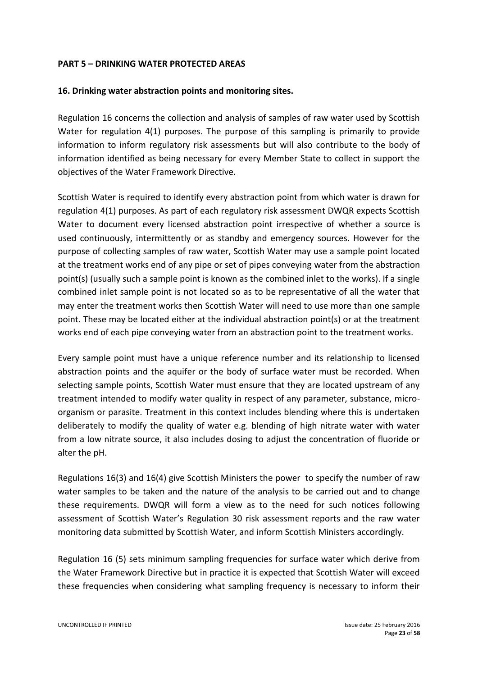#### **PART 5 – DRINKING WATER PROTECTED AREAS**

#### **16. Drinking water abstraction points and monitoring sites.**

Regulation 16 concerns the collection and analysis of samples of raw water used by Scottish Water for regulation 4(1) purposes. The purpose of this sampling is primarily to provide information to inform regulatory risk assessments but will also contribute to the body of information identified as being necessary for every Member State to collect in support the objectives of the Water Framework Directive.

Scottish Water is required to identify every abstraction point from which water is drawn for regulation 4(1) purposes. As part of each regulatory risk assessment DWQR expects Scottish Water to document every licensed abstraction point irrespective of whether a source is used continuously, intermittently or as standby and emergency sources. However for the purpose of collecting samples of raw water, Scottish Water may use a sample point located at the treatment works end of any pipe or set of pipes conveying water from the abstraction point(s) (usually such a sample point is known as the combined inlet to the works). If a single combined inlet sample point is not located so as to be representative of all the water that may enter the treatment works then Scottish Water will need to use more than one sample point. These may be located either at the individual abstraction point(s) or at the treatment works end of each pipe conveying water from an abstraction point to the treatment works.

Every sample point must have a unique reference number and its relationship to licensed abstraction points and the aquifer or the body of surface water must be recorded. When selecting sample points, Scottish Water must ensure that they are located upstream of any treatment intended to modify water quality in respect of any parameter, substance, microorganism or parasite. Treatment in this context includes blending where this is undertaken deliberately to modify the quality of water e.g. blending of high nitrate water with water from a low nitrate source, it also includes dosing to adjust the concentration of fluoride or alter the pH.

Regulations 16(3) and 16(4) give Scottish Ministers the power to specify the number of raw water samples to be taken and the nature of the analysis to be carried out and to change these requirements. DWQR will form a view as to the need for such notices following assessment of Scottish Water's Regulation 30 risk assessment reports and the raw water monitoring data submitted by Scottish Water, and inform Scottish Ministers accordingly.

Regulation 16 (5) sets minimum sampling frequencies for surface water which derive from the Water Framework Directive but in practice it is expected that Scottish Water will exceed these frequencies when considering what sampling frequency is necessary to inform their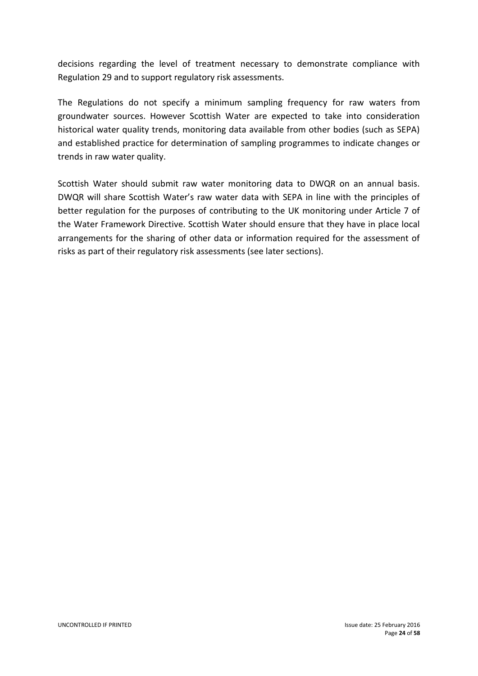decisions regarding the level of treatment necessary to demonstrate compliance with Regulation 29 and to support regulatory risk assessments.

The Regulations do not specify a minimum sampling frequency for raw waters from groundwater sources. However Scottish Water are expected to take into consideration historical water quality trends, monitoring data available from other bodies (such as SEPA) and established practice for determination of sampling programmes to indicate changes or trends in raw water quality.

Scottish Water should submit raw water monitoring data to DWQR on an annual basis. DWQR will share Scottish Water's raw water data with SEPA in line with the principles of better regulation for the purposes of contributing to the UK monitoring under Article 7 of the Water Framework Directive. Scottish Water should ensure that they have in place local arrangements for the sharing of other data or information required for the assessment of risks as part of their regulatory risk assessments (see later sections).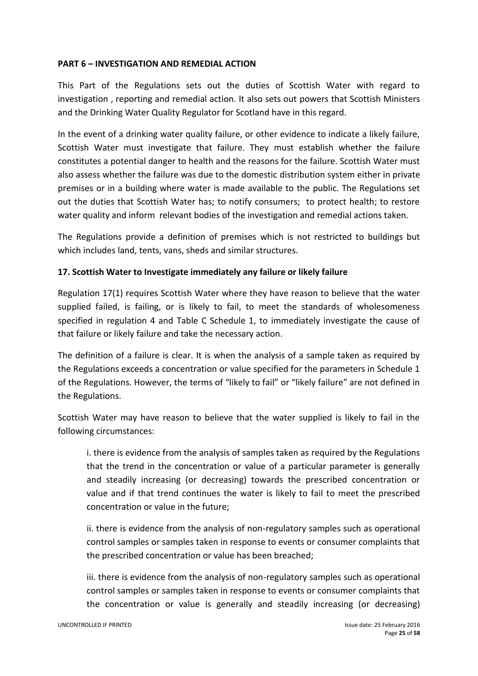#### **PART 6 – INVESTIGATION AND REMEDIAL ACTION**

This Part of the Regulations sets out the duties of Scottish Water with regard to investigation , reporting and remedial action. It also sets out powers that Scottish Ministers and the Drinking Water Quality Regulator for Scotland have in this regard.

In the event of a drinking water quality failure, or other evidence to indicate a likely failure, Scottish Water must investigate that failure. They must establish whether the failure constitutes a potential danger to health and the reasons for the failure. Scottish Water must also assess whether the failure was due to the domestic distribution system either in private premises or in a building where water is made available to the public. The Regulations set out the duties that Scottish Water has; to notify consumers; to protect health; to restore water quality and inform relevant bodies of the investigation and remedial actions taken.

The Regulations provide a definition of premises which is not restricted to buildings but which includes land, tents, vans, sheds and similar structures.

#### **17. Scottish Water to Investigate immediately any failure or likely failure**

Regulation 17(1) requires Scottish Water where they have reason to believe that the water supplied failed, is failing, or is likely to fail, to meet the standards of wholesomeness specified in regulation 4 and Table C Schedule 1, to immediately investigate the cause of that failure or likely failure and take the necessary action.

The definition of a failure is clear. It is when the analysis of a sample taken as required by the Regulations exceeds a concentration or value specified for the parameters in Schedule 1 of the Regulations. However, the terms of "likely to fail" or "likely failure" are not defined in the Regulations.

Scottish Water may have reason to believe that the water supplied is likely to fail in the following circumstances:

i. there is evidence from the analysis of samples taken as required by the Regulations that the trend in the concentration or value of a particular parameter is generally and steadily increasing (or decreasing) towards the prescribed concentration or value and if that trend continues the water is likely to fail to meet the prescribed concentration or value in the future;

ii. there is evidence from the analysis of non-regulatory samples such as operational control samples or samples taken in response to events or consumer complaints that the prescribed concentration or value has been breached;

iii. there is evidence from the analysis of non-regulatory samples such as operational control samples or samples taken in response to events or consumer complaints that the concentration or value is generally and steadily increasing (or decreasing)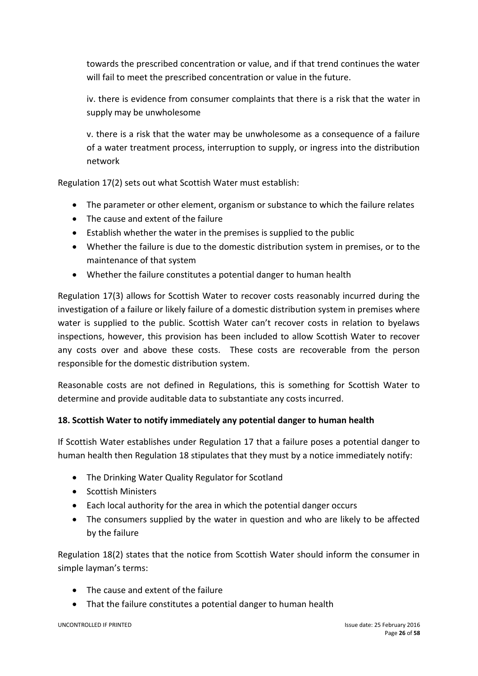towards the prescribed concentration or value, and if that trend continues the water will fail to meet the prescribed concentration or value in the future.

iv. there is evidence from consumer complaints that there is a risk that the water in supply may be unwholesome

v. there is a risk that the water may be unwholesome as a consequence of a failure of a water treatment process, interruption to supply, or ingress into the distribution network

Regulation 17(2) sets out what Scottish Water must establish:

- The parameter or other element, organism or substance to which the failure relates
- The cause and extent of the failure
- Establish whether the water in the premises is supplied to the public
- Whether the failure is due to the domestic distribution system in premises, or to the maintenance of that system
- Whether the failure constitutes a potential danger to human health

Regulation 17(3) allows for Scottish Water to recover costs reasonably incurred during the investigation of a failure or likely failure of a domestic distribution system in premises where water is supplied to the public. Scottish Water can't recover costs in relation to byelaws inspections, however, this provision has been included to allow Scottish Water to recover any costs over and above these costs. These costs are recoverable from the person responsible for the domestic distribution system.

Reasonable costs are not defined in Regulations, this is something for Scottish Water to determine and provide auditable data to substantiate any costs incurred.

## **18. Scottish Water to notify immediately any potential danger to human health**

If Scottish Water establishes under Regulation 17 that a failure poses a potential danger to human health then Regulation 18 stipulates that they must by a notice immediately notify:

- The Drinking Water Quality Regulator for Scotland
- Scottish Ministers
- Each local authority for the area in which the potential danger occurs
- The consumers supplied by the water in question and who are likely to be affected by the failure

Regulation 18(2) states that the notice from Scottish Water should inform the consumer in simple layman's terms:

- The cause and extent of the failure
- That the failure constitutes a potential danger to human health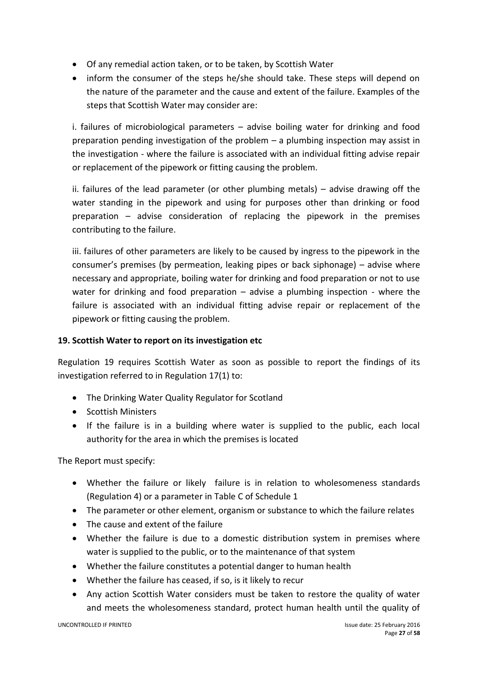- Of any remedial action taken, or to be taken, by Scottish Water
- inform the consumer of the steps he/she should take. These steps will depend on the nature of the parameter and the cause and extent of the failure. Examples of the steps that Scottish Water may consider are:

i. failures of microbiological parameters – advise boiling water for drinking and food preparation pending investigation of the problem – a plumbing inspection may assist in the investigation - where the failure is associated with an individual fitting advise repair or replacement of the pipework or fitting causing the problem.

ii. failures of the lead parameter (or other plumbing metals) – advise drawing off the water standing in the pipework and using for purposes other than drinking or food preparation – advise consideration of replacing the pipework in the premises contributing to the failure.

iii. failures of other parameters are likely to be caused by ingress to the pipework in the consumer's premises (by permeation, leaking pipes or back siphonage) – advise where necessary and appropriate, boiling water for drinking and food preparation or not to use water for drinking and food preparation – advise a plumbing inspection - where the failure is associated with an individual fitting advise repair or replacement of the pipework or fitting causing the problem.

## **19. Scottish Water to report on its investigation etc**

Regulation 19 requires Scottish Water as soon as possible to report the findings of its investigation referred to in Regulation 17(1) to:

- The Drinking Water Quality Regulator for Scotland
- Scottish Ministers
- If the failure is in a building where water is supplied to the public, each local authority for the area in which the premises is located

The Report must specify:

- Whether the failure or likely failure is in relation to wholesomeness standards (Regulation 4) or a parameter in Table C of Schedule 1
- The parameter or other element, organism or substance to which the failure relates
- The cause and extent of the failure
- Whether the failure is due to a domestic distribution system in premises where water is supplied to the public, or to the maintenance of that system
- Whether the failure constitutes a potential danger to human health
- Whether the failure has ceased, if so, is it likely to recur
- Any action Scottish Water considers must be taken to restore the quality of water and meets the wholesomeness standard, protect human health until the quality of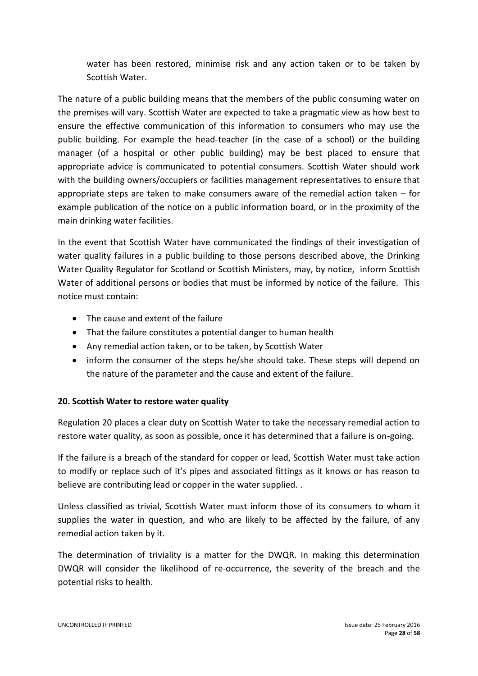water has been restored, minimise risk and any action taken or to be taken by Scottish Water.

The nature of a public building means that the members of the public consuming water on the premises will vary. Scottish Water are expected to take a pragmatic view as how best to ensure the effective communication of this information to consumers who may use the public building. For example the head-teacher (in the case of a school) or the building manager (of a hospital or other public building) may be best placed to ensure that appropriate advice is communicated to potential consumers. Scottish Water should work with the building owners/occupiers or facilities management representatives to ensure that appropriate steps are taken to make consumers aware of the remedial action taken  $-$  for example publication of the notice on a public information board, or in the proximity of the main drinking water facilities.

In the event that Scottish Water have communicated the findings of their investigation of water quality failures in a public building to those persons described above, the Drinking Water Quality Regulator for Scotland or Scottish Ministers, may, by notice, inform Scottish Water of additional persons or bodies that must be informed by notice of the failure. This notice must contain:

- The cause and extent of the failure
- That the failure constitutes a potential danger to human health
- Any remedial action taken, or to be taken, by Scottish Water
- inform the consumer of the steps he/she should take. These steps will depend on the nature of the parameter and the cause and extent of the failure.

## **20. Scottish Water to restore water quality**

Regulation 20 places a clear duty on Scottish Water to take the necessary remedial action to restore water quality, as soon as possible, once it has determined that a failure is on-going.

If the failure is a breach of the standard for copper or lead, Scottish Water must take action to modify or replace such of it's pipes and associated fittings as it knows or has reason to believe are contributing lead or copper in the water supplied. .

Unless classified as trivial, Scottish Water must inform those of its consumers to whom it supplies the water in question, and who are likely to be affected by the failure, of any remedial action taken by it.

The determination of triviality is a matter for the DWQR. In making this determination DWQR will consider the likelihood of re-occurrence, the severity of the breach and the potential risks to health.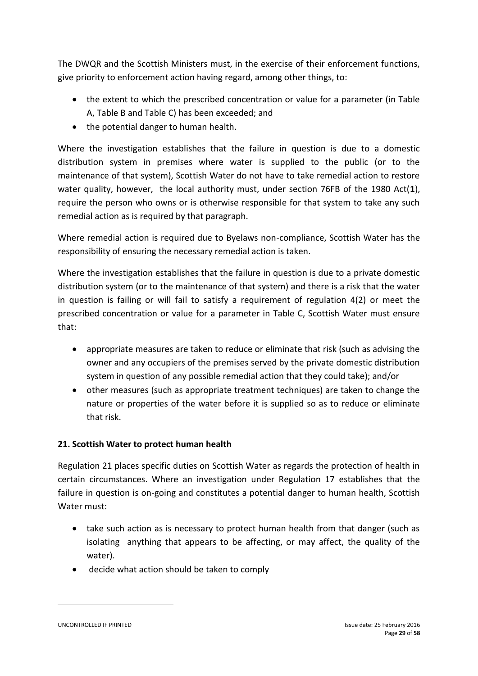The DWQR and the Scottish Ministers must, in the exercise of their enforcement functions, give priority to enforcement action having regard, among other things, to:

- the extent to which the prescribed concentration or value for a parameter (in Table A, Table B and Table C) has been exceeded; and
- the potential danger to human health.

Where the investigation establishes that the failure in question is due to a domestic distribution system in premises where water is supplied to the public (or to the maintenance of that system), Scottish Water do not have to take remedial action to restore water quality, however, the local authority must, under section 76FB of the 1980 Act(**1**), require the person who owns or is otherwise responsible for that system to take any such remedial action as is required by that paragraph.

Where remedial action is required due to Byelaws non-compliance, Scottish Water has the responsibility of ensuring the necessary remedial action is taken.

Where the investigation establishes that the failure in question is due to a private domestic distribution system (or to the maintenance of that system) and there is a risk that the water in question is failing or will fail to satisfy a requirement of regulation 4(2) or meet the prescribed concentration or value for a parameter in Table C, Scottish Water must ensure that:

- appropriate measures are taken to reduce or eliminate that risk (such as advising the owner and any occupiers of the premises served by the private domestic distribution system in question of any possible remedial action that they could take); and/or
- other measures (such as appropriate treatment techniques) are taken to change the nature or properties of the water before it is supplied so as to reduce or eliminate that risk.

## **21. Scottish Water to protect human health**

Regulation 21 places specific duties on Scottish Water as regards the protection of health in certain circumstances. Where an investigation under Regulation 17 establishes that the failure in question is on-going and constitutes a potential danger to human health, Scottish Water must:

- take such action as is necessary to protect human health from that danger (such as isolating anything that appears to be affecting, or may affect, the quality of the water).
- decide what action should be taken to comply

-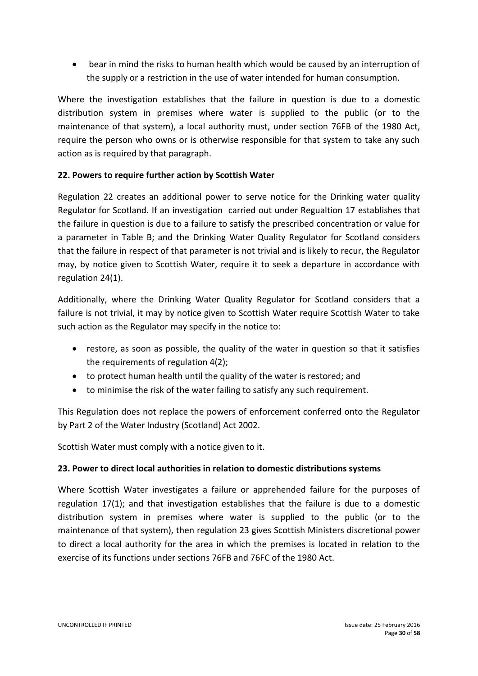bear in mind the risks to human health which would be caused by an interruption of the supply or a restriction in the use of water intended for human consumption.

Where the investigation establishes that the failure in question is due to a domestic distribution system in premises where water is supplied to the public (or to the maintenance of that system), a local authority must, under section 76FB of the 1980 Act, require the person who owns or is otherwise responsible for that system to take any such action as is required by that paragraph.

## **22. Powers to require further action by Scottish Water**

Regulation 22 creates an additional power to serve notice for the Drinking water quality Regulator for Scotland. If an investigation carried out under Regualtion 17 establishes that the failure in question is due to a failure to satisfy the prescribed concentration or value for a parameter in Table B; and the Drinking Water Quality Regulator for Scotland considers that the failure in respect of that parameter is not trivial and is likely to recur, the Regulator may, by notice given to Scottish Water, require it to seek a departure in accordance with regulation 24(1).

Additionally, where the Drinking Water Quality Regulator for Scotland considers that a failure is not trivial, it may by notice given to Scottish Water require Scottish Water to take such action as the Regulator may specify in the notice to:

- restore, as soon as possible, the quality of the water in question so that it satisfies the requirements of regulation 4(2);
- to protect human health until the quality of the water is restored; and
- to minimise the risk of the water failing to satisfy any such requirement.

This Regulation does not replace the powers of enforcement conferred onto the Regulator by Part 2 of the Water Industry (Scotland) Act 2002.

Scottish Water must comply with a notice given to it.

## **23. Power to direct local authorities in relation to domestic distributions systems**

Where Scottish Water investigates a failure or apprehended failure for the purposes of regulation 17(1); and that investigation establishes that the failure is due to a domestic distribution system in premises where water is supplied to the public (or to the maintenance of that system), then regulation 23 gives Scottish Ministers discretional power to direct a local authority for the area in which the premises is located in relation to the exercise of its functions under sections 76FB and 76FC of the 1980 Act.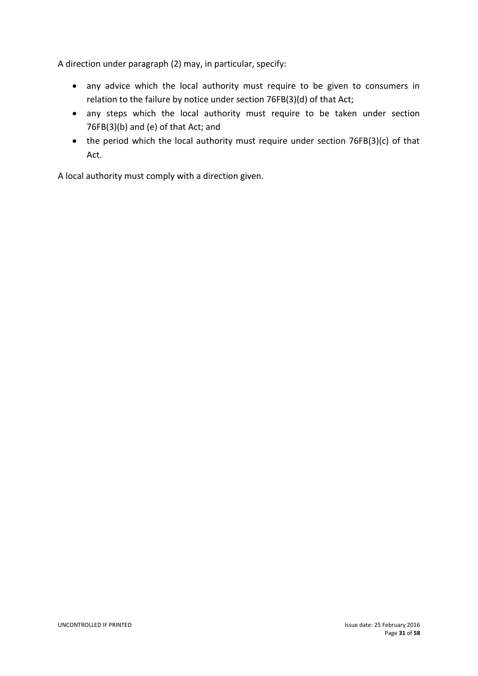A direction under paragraph (2) may, in particular, specify:

- any advice which the local authority must require to be given to consumers in relation to the failure by notice under section 76FB(3)(d) of that Act;
- any steps which the local authority must require to be taken under section 76FB(3)(b) and (e) of that Act; and
- the period which the local authority must require under section 76FB(3)(c) of that Act.

A local authority must comply with a direction given.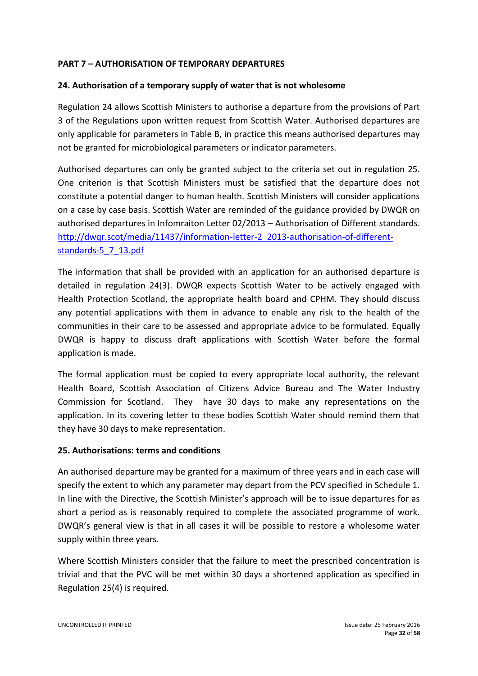## **PART 7 – AUTHORISATION OF TEMPORARY DEPARTURES**

#### **24. Authorisation of a temporary supply of water that is not wholesome**

Regulation 24 allows Scottish Ministers to authorise a departure from the provisions of Part 3 of the Regulations upon written request from Scottish Water. Authorised departures are only applicable for parameters in Table B, in practice this means authorised departures may not be granted for microbiological parameters or indicator parameters.

Authorised departures can only be granted subject to the criteria set out in regulation 25. One criterion is that Scottish Ministers must be satisfied that the departure does not constitute a potential danger to human health. Scottish Ministers will consider applications on a case by case basis. Scottish Water are reminded of the guidance provided by DWQR on authorised departures in Infomraiton Letter 02/2013 – Authorisation of Different standards. [http://dwqr.scot/media/11437/information-letter-2\\_2013-authorisation-of-different](http://dwqr.scot/media/11437/information-letter-2_2013-authorisation-of-different-standards-5_7_13.pdf)[standards-5\\_7\\_13.pdf](http://dwqr.scot/media/11437/information-letter-2_2013-authorisation-of-different-standards-5_7_13.pdf)

The information that shall be provided with an application for an authorised departure is detailed in regulation 24(3). DWQR expects Scottish Water to be actively engaged with Health Protection Scotland, the appropriate health board and CPHM. They should discuss any potential applications with them in advance to enable any risk to the health of the communities in their care to be assessed and appropriate advice to be formulated. Equally DWQR is happy to discuss draft applications with Scottish Water before the formal application is made.

The formal application must be copied to every appropriate local authority, the relevant Health Board, Scottish Association of Citizens Advice Bureau and The Water Industry Commission for Scotland. They have 30 days to make any representations on the application. In its covering letter to these bodies Scottish Water should remind them that they have 30 days to make representation.

#### **25. Authorisations: terms and conditions**

An authorised departure may be granted for a maximum of three years and in each case will specify the extent to which any parameter may depart from the PCV specified in Schedule 1. In line with the Directive, the Scottish Minister's approach will be to issue departures for as short a period as is reasonably required to complete the associated programme of work. DWQR's general view is that in all cases it will be possible to restore a wholesome water supply within three years.

Where Scottish Ministers consider that the failure to meet the prescribed concentration is trivial and that the PVC will be met within 30 days a shortened application as specified in Regulation 25(4) is required.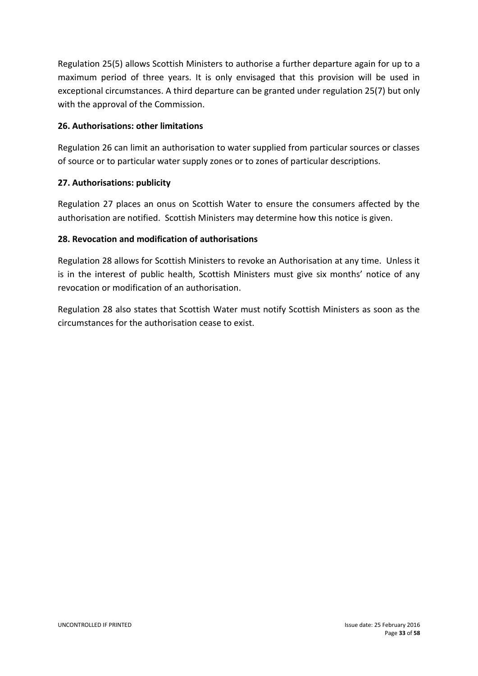Regulation 25(5) allows Scottish Ministers to authorise a further departure again for up to a maximum period of three years. It is only envisaged that this provision will be used in exceptional circumstances. A third departure can be granted under regulation 25(7) but only with the approval of the Commission.

## **26. Authorisations: other limitations**

Regulation 26 can limit an authorisation to water supplied from particular sources or classes of source or to particular water supply zones or to zones of particular descriptions.

## **27. Authorisations: publicity**

Regulation 27 places an onus on Scottish Water to ensure the consumers affected by the authorisation are notified. Scottish Ministers may determine how this notice is given.

## **28. Revocation and modification of authorisations**

Regulation 28 allows for Scottish Ministers to revoke an Authorisation at any time. Unless it is in the interest of public health, Scottish Ministers must give six months' notice of any revocation or modification of an authorisation.

Regulation 28 also states that Scottish Water must notify Scottish Ministers as soon as the circumstances for the authorisation cease to exist.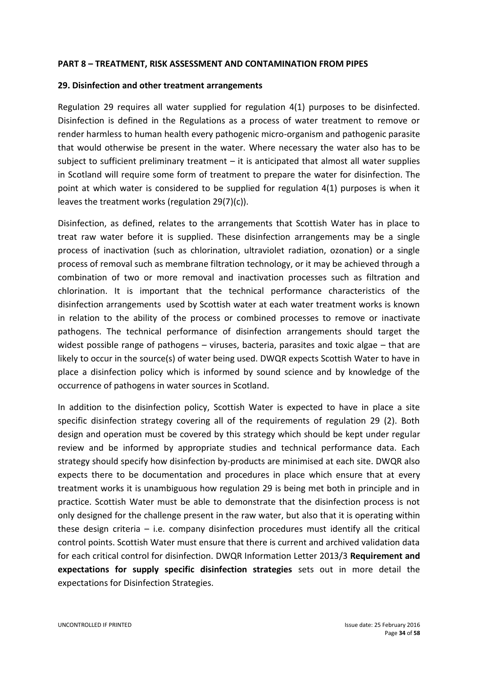#### **PART 8 – TREATMENT, RISK ASSESSMENT AND CONTAMINATION FROM PIPES**

#### **29. Disinfection and other treatment arrangements**

Regulation 29 requires all water supplied for regulation 4(1) purposes to be disinfected. Disinfection is defined in the Regulations as a process of water treatment to remove or render harmless to human health every pathogenic micro-organism and pathogenic parasite that would otherwise be present in the water. Where necessary the water also has to be subject to sufficient preliminary treatment  $-$  it is anticipated that almost all water supplies in Scotland will require some form of treatment to prepare the water for disinfection. The point at which water is considered to be supplied for regulation 4(1) purposes is when it leaves the treatment works (regulation 29(7)(c)).

Disinfection, as defined, relates to the arrangements that Scottish Water has in place to treat raw water before it is supplied. These disinfection arrangements may be a single process of inactivation (such as chlorination, ultraviolet radiation, ozonation) or a single process of removal such as membrane filtration technology, or it may be achieved through a combination of two or more removal and inactivation processes such as filtration and chlorination. It is important that the technical performance characteristics of the disinfection arrangements used by Scottish water at each water treatment works is known in relation to the ability of the process or combined processes to remove or inactivate pathogens. The technical performance of disinfection arrangements should target the widest possible range of pathogens – viruses, bacteria, parasites and toxic algae – that are likely to occur in the source(s) of water being used. DWQR expects Scottish Water to have in place a disinfection policy which is informed by sound science and by knowledge of the occurrence of pathogens in water sources in Scotland.

In addition to the disinfection policy, Scottish Water is expected to have in place a site specific disinfection strategy covering all of the requirements of regulation 29 (2). Both design and operation must be covered by this strategy which should be kept under regular review and be informed by appropriate studies and technical performance data. Each strategy should specify how disinfection by-products are minimised at each site. DWQR also expects there to be documentation and procedures in place which ensure that at every treatment works it is unambiguous how regulation 29 is being met both in principle and in practice. Scottish Water must be able to demonstrate that the disinfection process is not only designed for the challenge present in the raw water, but also that it is operating within these design criteria – i.e. company disinfection procedures must identify all the critical control points. Scottish Water must ensure that there is current and archived validation data for each critical control for disinfection. DWQR Information Letter 2013/3 **Requirement and expectations for supply specific disinfection strategies** sets out in more detail the expectations for Disinfection Strategies.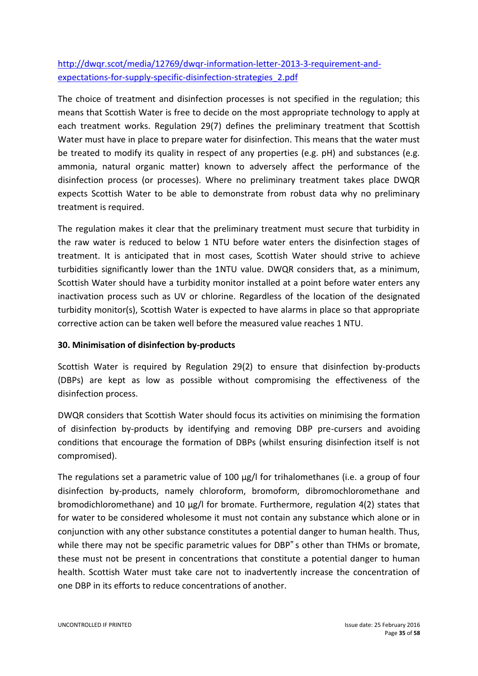## [http://dwqr.scot/media/12769/dwqr-information-letter-2013-3-requirement-and](http://dwqr.scot/media/12769/dwqr-information-letter-2013-3-requirement-and-expectations-for-supply-specific-disinfection-strategies_2.pdf)[expectations-for-supply-specific-disinfection-strategies\\_2.pdf](http://dwqr.scot/media/12769/dwqr-information-letter-2013-3-requirement-and-expectations-for-supply-specific-disinfection-strategies_2.pdf)

The choice of treatment and disinfection processes is not specified in the regulation; this means that Scottish Water is free to decide on the most appropriate technology to apply at each treatment works. Regulation 29(7) defines the preliminary treatment that Scottish Water must have in place to prepare water for disinfection. This means that the water must be treated to modify its quality in respect of any properties (e.g. pH) and substances (e.g. ammonia, natural organic matter) known to adversely affect the performance of the disinfection process (or processes). Where no preliminary treatment takes place DWQR expects Scottish Water to be able to demonstrate from robust data why no preliminary treatment is required.

The regulation makes it clear that the preliminary treatment must secure that turbidity in the raw water is reduced to below 1 NTU before water enters the disinfection stages of treatment. It is anticipated that in most cases, Scottish Water should strive to achieve turbidities significantly lower than the 1NTU value. DWQR considers that, as a minimum, Scottish Water should have a turbidity monitor installed at a point before water enters any inactivation process such as UV or chlorine. Regardless of the location of the designated turbidity monitor(s), Scottish Water is expected to have alarms in place so that appropriate corrective action can be taken well before the measured value reaches 1 NTU.

## **30. Minimisation of disinfection by-products**

Scottish Water is required by Regulation 29(2) to ensure that disinfection by-products (DBPs) are kept as low as possible without compromising the effectiveness of the disinfection process.

DWQR considers that Scottish Water should focus its activities on minimising the formation of disinfection by-products by identifying and removing DBP pre-cursers and avoiding conditions that encourage the formation of DBPs (whilst ensuring disinfection itself is not compromised).

The regulations set a parametric value of 100 μg/l for trihalomethanes (i.e. a group of four disinfection by-products, namely chloroform, bromoform, dibromochloromethane and bromodichloromethane) and 10 μg/l for bromate. Furthermore, regulation 4(2) states that for water to be considered wholesome it must not contain any substance which alone or in conjunction with any other substance constitutes a potential danger to human health. Thus, while there may not be specific parametric values for DBP" s other than THMs or bromate, these must not be present in concentrations that constitute a potential danger to human health. Scottish Water must take care not to inadvertently increase the concentration of one DBP in its efforts to reduce concentrations of another.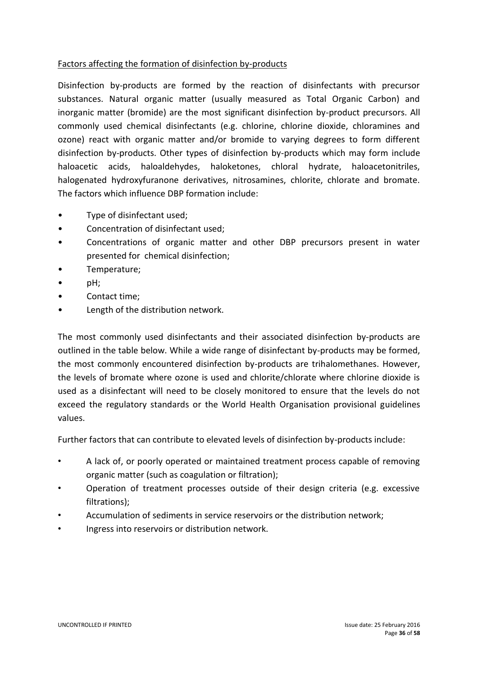## Factors affecting the formation of disinfection by-products

Disinfection by-products are formed by the reaction of disinfectants with precursor substances. Natural organic matter (usually measured as Total Organic Carbon) and inorganic matter (bromide) are the most significant disinfection by-product precursors. All commonly used chemical disinfectants (e.g. chlorine, chlorine dioxide, chloramines and ozone) react with organic matter and/or bromide to varying degrees to form different disinfection by-products. Other types of disinfection by-products which may form include haloacetic acids, haloaldehydes, haloketones, chloral hydrate, haloacetonitriles, halogenated hydroxyfuranone derivatives, nitrosamines, chlorite, chlorate and bromate. The factors which influence DBP formation include:

- Type of disinfectant used;
- Concentration of disinfectant used;
- Concentrations of organic matter and other DBP precursors present in water presented for chemical disinfection;
- Temperature;
- pH;
- Contact time;
- Length of the distribution network.

The most commonly used disinfectants and their associated disinfection by-products are outlined in the table below. While a wide range of disinfectant by-products may be formed, the most commonly encountered disinfection by-products are trihalomethanes. However, the levels of bromate where ozone is used and chlorite/chlorate where chlorine dioxide is used as a disinfectant will need to be closely monitored to ensure that the levels do not exceed the regulatory standards or the World Health Organisation provisional guidelines values.

Further factors that can contribute to elevated levels of disinfection by-products include:

- A lack of, or poorly operated or maintained treatment process capable of removing organic matter (such as coagulation or filtration);
- Operation of treatment processes outside of their design criteria (e.g. excessive filtrations);
- Accumulation of sediments in service reservoirs or the distribution network;
- Ingress into reservoirs or distribution network.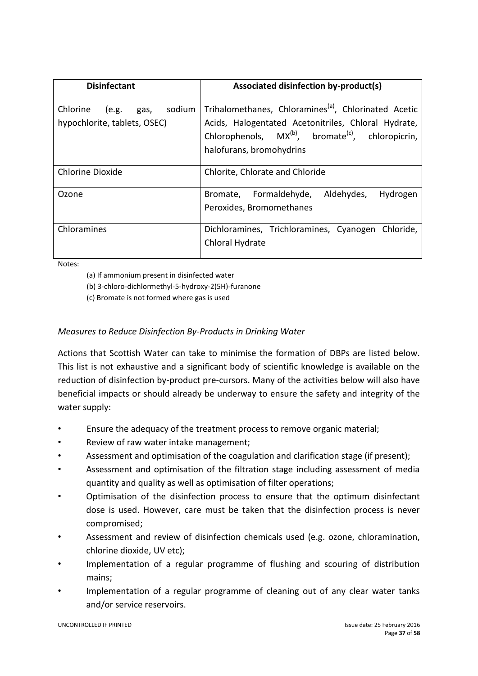| <b>Disinfectant</b>                                                 | Associated disinfection by-product(s)                                                                                                                                                                                     |
|---------------------------------------------------------------------|---------------------------------------------------------------------------------------------------------------------------------------------------------------------------------------------------------------------------|
| Chlorine<br>sodium<br>(e.g.<br>gas,<br>hypochlorite, tablets, OSEC) | Trihalomethanes, Chloramines <sup>(a)</sup> , Chlorinated Acetic<br>Acids, Halogentated Acetonitriles, Chloral Hydrate,<br>Chlorophenols, $MX^{(b)}$ , bromate <sup>(c)</sup> , chloropicrin,<br>halofurans, bromohydrins |
| <b>Chlorine Dioxide</b>                                             | Chlorite, Chlorate and Chloride                                                                                                                                                                                           |
| Ozone                                                               | Bromate, Formaldehyde, Aldehydes,<br>Hydrogen<br>Peroxides, Bromomethanes                                                                                                                                                 |
| Chloramines                                                         | Dichloramines, Trichloramines, Cyanogen<br>Chloride,<br>Chloral Hydrate                                                                                                                                                   |

Notes:

(a) If ammonium present in disinfected water

(b) 3-chloro-dichlormethyl-5-hydroxy-2(5H)-furanone

(c) Bromate is not formed where gas is used

## *Measures to Reduce Disinfection By-Products in Drinking Water*

Actions that Scottish Water can take to minimise the formation of DBPs are listed below. This list is not exhaustive and a significant body of scientific knowledge is available on the reduction of disinfection by-product pre-cursors. Many of the activities below will also have beneficial impacts or should already be underway to ensure the safety and integrity of the water supply:

- Ensure the adequacy of the treatment process to remove organic material;
- Review of raw water intake management;
- Assessment and optimisation of the coagulation and clarification stage (if present);
- Assessment and optimisation of the filtration stage including assessment of media quantity and quality as well as optimisation of filter operations;
- Optimisation of the disinfection process to ensure that the optimum disinfectant dose is used. However, care must be taken that the disinfection process is never compromised;
- Assessment and review of disinfection chemicals used (e.g. ozone, chloramination, chlorine dioxide, UV etc);
- Implementation of a regular programme of flushing and scouring of distribution mains;
- Implementation of a regular programme of cleaning out of any clear water tanks and/or service reservoirs.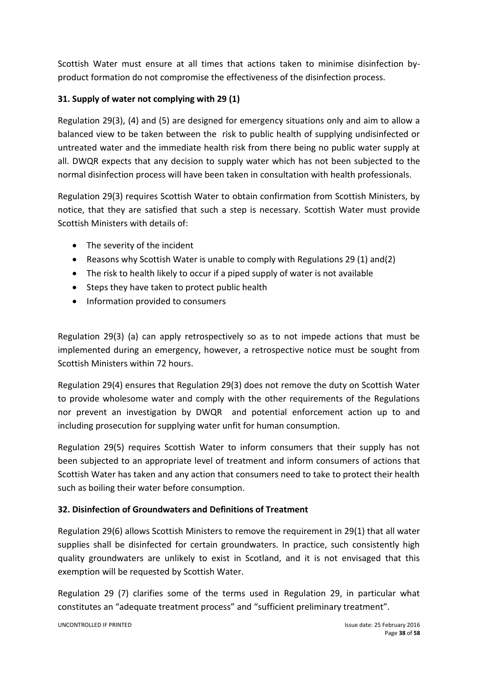Scottish Water must ensure at all times that actions taken to minimise disinfection byproduct formation do not compromise the effectiveness of the disinfection process.

## **31. Supply of water not complying with 29 (1)**

Regulation 29(3), (4) and (5) are designed for emergency situations only and aim to allow a balanced view to be taken between the risk to public health of supplying undisinfected or untreated water and the immediate health risk from there being no public water supply at all. DWQR expects that any decision to supply water which has not been subjected to the normal disinfection process will have been taken in consultation with health professionals.

Regulation 29(3) requires Scottish Water to obtain confirmation from Scottish Ministers, by notice, that they are satisfied that such a step is necessary. Scottish Water must provide Scottish Ministers with details of:

- The severity of the incident
- Reasons why Scottish Water is unable to comply with Regulations 29 (1) and(2)
- The risk to health likely to occur if a piped supply of water is not available
- Steps they have taken to protect public health
- Information provided to consumers

Regulation 29(3) (a) can apply retrospectively so as to not impede actions that must be implemented during an emergency, however, a retrospective notice must be sought from Scottish Ministers within 72 hours.

Regulation 29(4) ensures that Regulation 29(3) does not remove the duty on Scottish Water to provide wholesome water and comply with the other requirements of the Regulations nor prevent an investigation by DWQR and potential enforcement action up to and including prosecution for supplying water unfit for human consumption.

Regulation 29(5) requires Scottish Water to inform consumers that their supply has not been subjected to an appropriate level of treatment and inform consumers of actions that Scottish Water has taken and any action that consumers need to take to protect their health such as boiling their water before consumption.

## **32. Disinfection of Groundwaters and Definitions of Treatment**

Regulation 29(6) allows Scottish Ministers to remove the requirement in 29(1) that all water supplies shall be disinfected for certain groundwaters. In practice, such consistently high quality groundwaters are unlikely to exist in Scotland, and it is not envisaged that this exemption will be requested by Scottish Water.

Regulation 29 (7) clarifies some of the terms used in Regulation 29, in particular what constitutes an "adequate treatment process" and "sufficient preliminary treatment".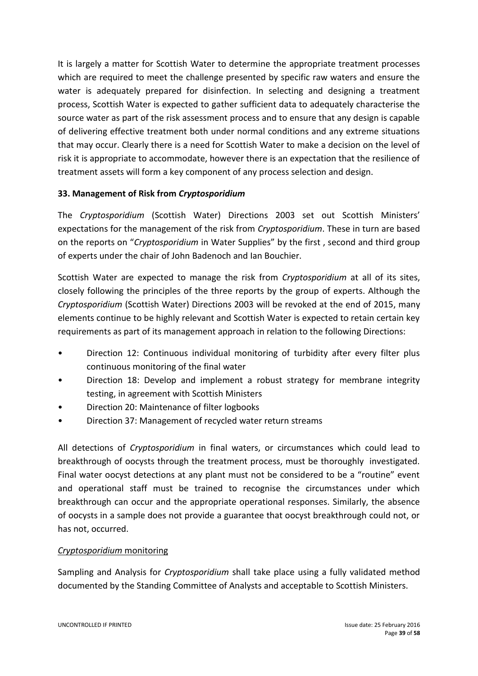It is largely a matter for Scottish Water to determine the appropriate treatment processes which are required to meet the challenge presented by specific raw waters and ensure the water is adequately prepared for disinfection. In selecting and designing a treatment process, Scottish Water is expected to gather sufficient data to adequately characterise the source water as part of the risk assessment process and to ensure that any design is capable of delivering effective treatment both under normal conditions and any extreme situations that may occur. Clearly there is a need for Scottish Water to make a decision on the level of risk it is appropriate to accommodate, however there is an expectation that the resilience of treatment assets will form a key component of any process selection and design.

## **33. Management of Risk from** *Cryptosporidium*

The *Cryptosporidium* (Scottish Water) Directions 2003 set out Scottish Ministers' expectations for the management of the risk from *Cryptosporidium*. These in turn are based on the reports on "*Cryptosporidium* in Water Supplies" by the first , second and third group of experts under the chair of John Badenoch and Ian Bouchier.

Scottish Water are expected to manage the risk from *Cryptosporidium* at all of its sites, closely following the principles of the three reports by the group of experts. Although the *Cryptosporidium* (Scottish Water) Directions 2003 will be revoked at the end of 2015, many elements continue to be highly relevant and Scottish Water is expected to retain certain key requirements as part of its management approach in relation to the following Directions:

- Direction 12: Continuous individual monitoring of turbidity after every filter plus continuous monitoring of the final water
- Direction 18: Develop and implement a robust strategy for membrane integrity testing, in agreement with Scottish Ministers
- Direction 20: Maintenance of filter logbooks
- Direction 37: Management of recycled water return streams

All detections of *Cryptosporidium* in final waters, or circumstances which could lead to breakthrough of oocysts through the treatment process, must be thoroughly investigated. Final water oocyst detections at any plant must not be considered to be a "routine" event and operational staff must be trained to recognise the circumstances under which breakthrough can occur and the appropriate operational responses. Similarly, the absence of oocysts in a sample does not provide a guarantee that oocyst breakthrough could not, or has not, occurred.

## *Cryptosporidium* monitoring

Sampling and Analysis for *Cryptosporidium* shall take place using a fully validated method documented by the Standing Committee of Analysts and acceptable to Scottish Ministers.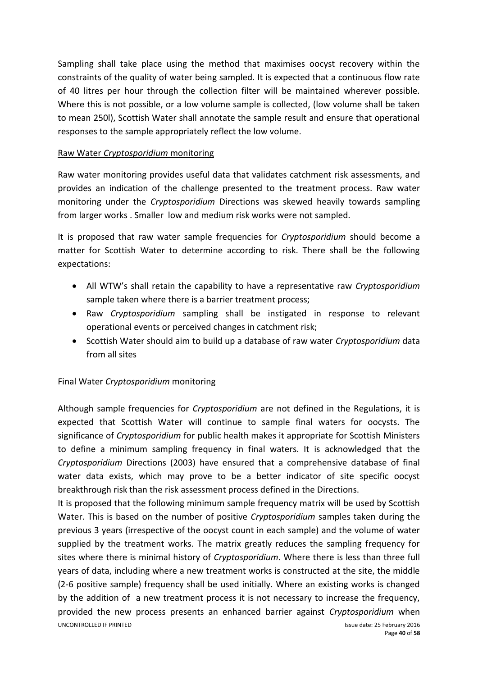Sampling shall take place using the method that maximises oocyst recovery within the constraints of the quality of water being sampled. It is expected that a continuous flow rate of 40 litres per hour through the collection filter will be maintained wherever possible. Where this is not possible, or a low volume sample is collected, (low volume shall be taken to mean 250l), Scottish Water shall annotate the sample result and ensure that operational responses to the sample appropriately reflect the low volume.

#### Raw Water *Cryptosporidium* monitoring

Raw water monitoring provides useful data that validates catchment risk assessments, and provides an indication of the challenge presented to the treatment process. Raw water monitoring under the *Cryptosporidium* Directions was skewed heavily towards sampling from larger works . Smaller low and medium risk works were not sampled.

It is proposed that raw water sample frequencies for *Cryptosporidium* should become a matter for Scottish Water to determine according to risk. There shall be the following expectations:

- All WTW's shall retain the capability to have a representative raw *Cryptosporidium* sample taken where there is a barrier treatment process;
- Raw *Cryptosporidium* sampling shall be instigated in response to relevant operational events or perceived changes in catchment risk;
- Scottish Water should aim to build up a database of raw water *Cryptosporidium* data from all sites

## Final Water *Cryptosporidium* monitoring

Although sample frequencies for *Cryptosporidium* are not defined in the Regulations, it is expected that Scottish Water will continue to sample final waters for oocysts. The significance of *Cryptosporidium* for public health makes it appropriate for Scottish Ministers to define a minimum sampling frequency in final waters. It is acknowledged that the *Cryptosporidium* Directions (2003) have ensured that a comprehensive database of final water data exists, which may prove to be a better indicator of site specific oocyst breakthrough risk than the risk assessment process defined in the Directions.

UNCONTROLLED IF PRINTED **Internal and CONTROLLED** IF PRINTED **internal and CONTROLLED** IF PRINTED It is proposed that the following minimum sample frequency matrix will be used by Scottish Water. This is based on the number of positive *Cryptosporidium* samples taken during the previous 3 years (irrespective of the oocyst count in each sample) and the volume of water supplied by the treatment works. The matrix greatly reduces the sampling frequency for sites where there is minimal history of *Cryptosporidium*. Where there is less than three full years of data, including where a new treatment works is constructed at the site, the middle (2-6 positive sample) frequency shall be used initially. Where an existing works is changed by the addition of a new treatment process it is not necessary to increase the frequency, provided the new process presents an enhanced barrier against *Cryptosporidium* when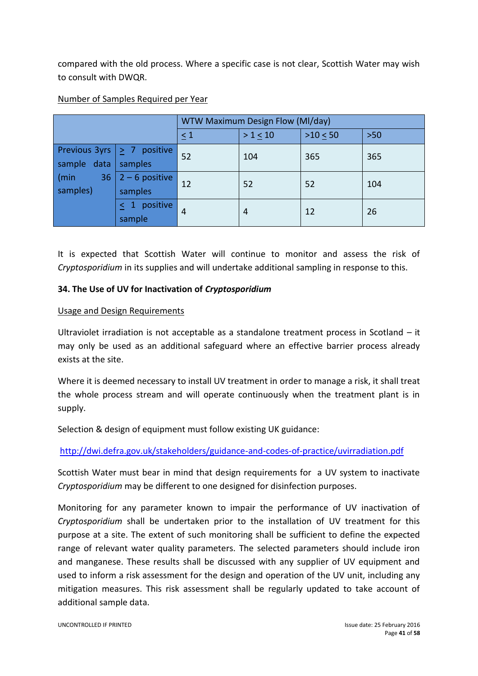compared with the old process. Where a specific case is not clear, Scottish Water may wish to consult with DWQR.

|                              |                                | WTW Maximum Design Flow (Ml/day) |          |          |       |
|------------------------------|--------------------------------|----------------------------------|----------|----------|-------|
|                              |                                | $\leq 1$                         | > 1 < 10 | >10 < 50 | $>50$ |
| Previous 3yrs<br>sample data | $\geq$ 7 positive<br>samples   | 52                               | 104      | 365      | 365   |
| 36<br>(min<br>samples)       | $2 - 6$ positive<br>samples    | 12                               | 52       | 52       | 104   |
|                              | positive<br>$\leq 1$<br>sample | 4                                | 4        | 12       | 26    |

#### Number of Samples Required per Year

It is expected that Scottish Water will continue to monitor and assess the risk of *Cryptosporidium* in its supplies and will undertake additional sampling in response to this.

## **34. The Use of UV for Inactivation of** *Cryptosporidium*

#### Usage and Design Requirements

Ultraviolet irradiation is not acceptable as a standalone treatment process in Scotland – it may only be used as an additional safeguard where an effective barrier process already exists at the site.

Where it is deemed necessary to install UV treatment in order to manage a risk, it shall treat the whole process stream and will operate continuously when the treatment plant is in supply.

Selection & design of equipment must follow existing UK guidance:

<http://dwi.defra.gov.uk/stakeholders/guidance-and-codes-of-practice/uvirradiation.pdf>

Scottish Water must bear in mind that design requirements for a UV system to inactivate *Cryptosporidium* may be different to one designed for disinfection purposes.

Monitoring for any parameter known to impair the performance of UV inactivation of *Cryptosporidium* shall be undertaken prior to the installation of UV treatment for this purpose at a site. The extent of such monitoring shall be sufficient to define the expected range of relevant water quality parameters. The selected parameters should include iron and manganese. These results shall be discussed with any supplier of UV equipment and used to inform a risk assessment for the design and operation of the UV unit, including any mitigation measures. This risk assessment shall be regularly updated to take account of additional sample data.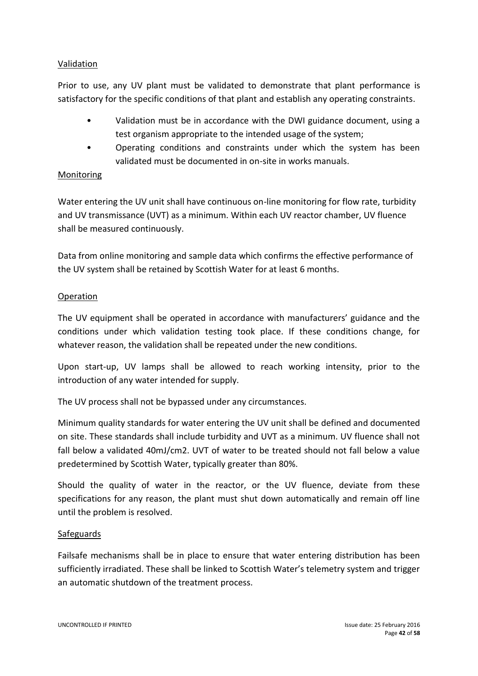#### Validation

Prior to use, any UV plant must be validated to demonstrate that plant performance is satisfactory for the specific conditions of that plant and establish any operating constraints.

- Validation must be in accordance with the DWI guidance document, using a test organism appropriate to the intended usage of the system;
- Operating conditions and constraints under which the system has been validated must be documented in on-site in works manuals.

#### Monitoring

Water entering the UV unit shall have continuous on-line monitoring for flow rate, turbidity and UV transmissance (UVT) as a minimum. Within each UV reactor chamber, UV fluence shall be measured continuously.

Data from online monitoring and sample data which confirms the effective performance of the UV system shall be retained by Scottish Water for at least 6 months.

#### **Operation**

The UV equipment shall be operated in accordance with manufacturers' guidance and the conditions under which validation testing took place. If these conditions change, for whatever reason, the validation shall be repeated under the new conditions.

Upon start-up, UV lamps shall be allowed to reach working intensity, prior to the introduction of any water intended for supply.

The UV process shall not be bypassed under any circumstances.

Minimum quality standards for water entering the UV unit shall be defined and documented on site. These standards shall include turbidity and UVT as a minimum. UV fluence shall not fall below a validated 40mJ/cm2. UVT of water to be treated should not fall below a value predetermined by Scottish Water, typically greater than 80%.

Should the quality of water in the reactor, or the UV fluence, deviate from these specifications for any reason, the plant must shut down automatically and remain off line until the problem is resolved.

## Safeguards

Failsafe mechanisms shall be in place to ensure that water entering distribution has been sufficiently irradiated. These shall be linked to Scottish Water's telemetry system and trigger an automatic shutdown of the treatment process.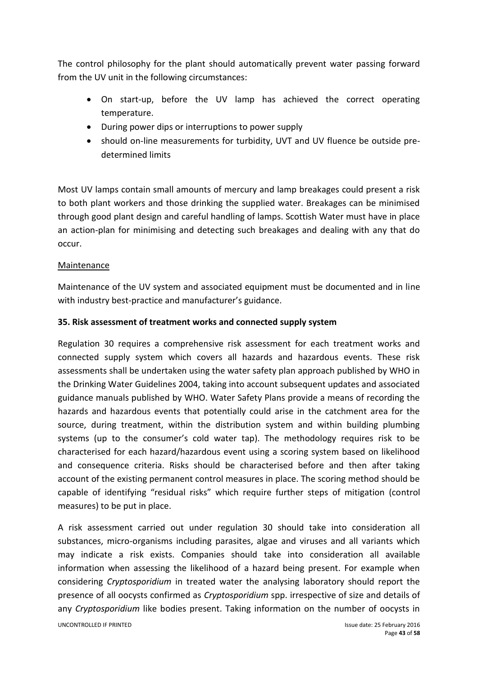The control philosophy for the plant should automatically prevent water passing forward from the UV unit in the following circumstances:

- On start-up, before the UV lamp has achieved the correct operating temperature.
- During power dips or interruptions to power supply
- should on-line measurements for turbidity, UVT and UV fluence be outside predetermined limits

Most UV lamps contain small amounts of mercury and lamp breakages could present a risk to both plant workers and those drinking the supplied water. Breakages can be minimised through good plant design and careful handling of lamps. Scottish Water must have in place an action-plan for minimising and detecting such breakages and dealing with any that do occur.

#### Maintenance

Maintenance of the UV system and associated equipment must be documented and in line with industry best-practice and manufacturer's guidance.

#### **35. Risk assessment of treatment works and connected supply system**

Regulation 30 requires a comprehensive risk assessment for each treatment works and connected supply system which covers all hazards and hazardous events. These risk assessments shall be undertaken using the water safety plan approach published by WHO in the Drinking Water Guidelines 2004, taking into account subsequent updates and associated guidance manuals published by WHO. Water Safety Plans provide a means of recording the hazards and hazardous events that potentially could arise in the catchment area for the source, during treatment, within the distribution system and within building plumbing systems (up to the consumer's cold water tap). The methodology requires risk to be characterised for each hazard/hazardous event using a scoring system based on likelihood and consequence criteria. Risks should be characterised before and then after taking account of the existing permanent control measures in place. The scoring method should be capable of identifying "residual risks" which require further steps of mitigation (control measures) to be put in place.

A risk assessment carried out under regulation 30 should take into consideration all substances, micro-organisms including parasites, algae and viruses and all variants which may indicate a risk exists. Companies should take into consideration all available information when assessing the likelihood of a hazard being present. For example when considering *Cryptosporidium* in treated water the analysing laboratory should report the presence of all oocysts confirmed as *Cryptosporidium* spp. irrespective of size and details of any *Cryptosporidium* like bodies present. Taking information on the number of oocysts in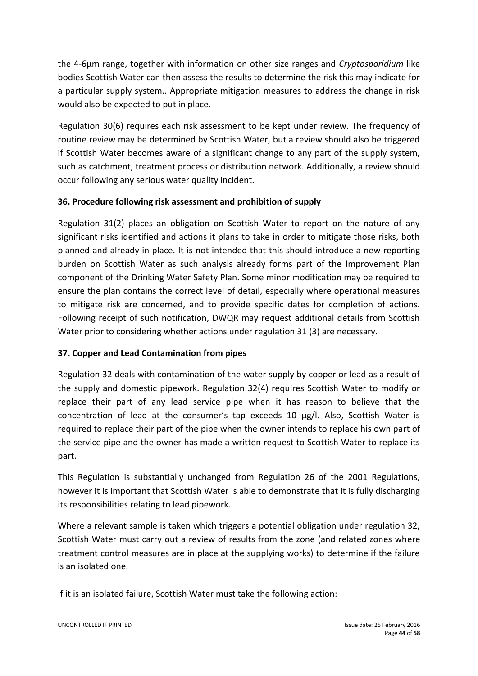the 4-6μm range, together with information on other size ranges and *Cryptosporidium* like bodies Scottish Water can then assess the results to determine the risk this may indicate for a particular supply system.. Appropriate mitigation measures to address the change in risk would also be expected to put in place.

Regulation 30(6) requires each risk assessment to be kept under review. The frequency of routine review may be determined by Scottish Water, but a review should also be triggered if Scottish Water becomes aware of a significant change to any part of the supply system, such as catchment, treatment process or distribution network. Additionally, a review should occur following any serious water quality incident.

## **36. Procedure following risk assessment and prohibition of supply**

Regulation 31(2) places an obligation on Scottish Water to report on the nature of any significant risks identified and actions it plans to take in order to mitigate those risks, both planned and already in place. It is not intended that this should introduce a new reporting burden on Scottish Water as such analysis already forms part of the Improvement Plan component of the Drinking Water Safety Plan. Some minor modification may be required to ensure the plan contains the correct level of detail, especially where operational measures to mitigate risk are concerned, and to provide specific dates for completion of actions. Following receipt of such notification, DWQR may request additional details from Scottish Water prior to considering whether actions under regulation 31 (3) are necessary.

## **37. Copper and Lead Contamination from pipes**

Regulation 32 deals with contamination of the water supply by copper or lead as a result of the supply and domestic pipework. Regulation 32(4) requires Scottish Water to modify or replace their part of any lead service pipe when it has reason to believe that the concentration of lead at the consumer's tap exceeds 10 μg/l. Also, Scottish Water is required to replace their part of the pipe when the owner intends to replace his own part of the service pipe and the owner has made a written request to Scottish Water to replace its part.

This Regulation is substantially unchanged from Regulation 26 of the 2001 Regulations, however it is important that Scottish Water is able to demonstrate that it is fully discharging its responsibilities relating to lead pipework.

Where a relevant sample is taken which triggers a potential obligation under regulation 32, Scottish Water must carry out a review of results from the zone (and related zones where treatment control measures are in place at the supplying works) to determine if the failure is an isolated one.

If it is an isolated failure, Scottish Water must take the following action: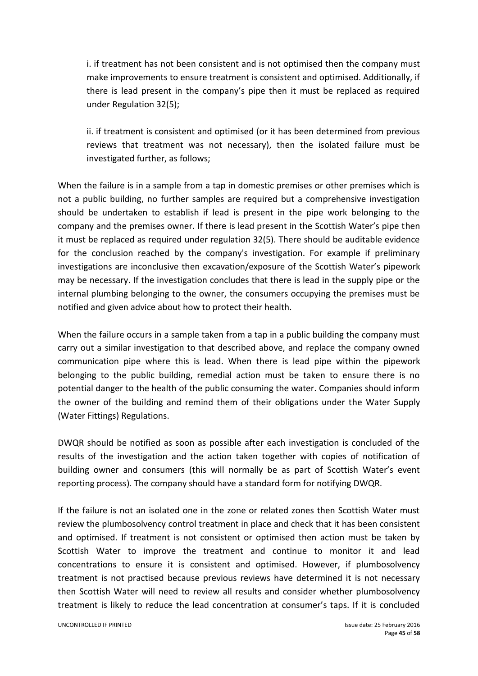i. if treatment has not been consistent and is not optimised then the company must make improvements to ensure treatment is consistent and optimised. Additionally, if there is lead present in the company's pipe then it must be replaced as required under Regulation 32(5);

ii. if treatment is consistent and optimised (or it has been determined from previous reviews that treatment was not necessary), then the isolated failure must be investigated further, as follows;

When the failure is in a sample from a tap in domestic premises or other premises which is not a public building, no further samples are required but a comprehensive investigation should be undertaken to establish if lead is present in the pipe work belonging to the company and the premises owner. If there is lead present in the Scottish Water's pipe then it must be replaced as required under regulation 32(5). There should be auditable evidence for the conclusion reached by the company's investigation. For example if preliminary investigations are inconclusive then excavation/exposure of the Scottish Water's pipework may be necessary. If the investigation concludes that there is lead in the supply pipe or the internal plumbing belonging to the owner, the consumers occupying the premises must be notified and given advice about how to protect their health.

When the failure occurs in a sample taken from a tap in a public building the company must carry out a similar investigation to that described above, and replace the company owned communication pipe where this is lead. When there is lead pipe within the pipework belonging to the public building, remedial action must be taken to ensure there is no potential danger to the health of the public consuming the water. Companies should inform the owner of the building and remind them of their obligations under the Water Supply (Water Fittings) Regulations.

DWQR should be notified as soon as possible after each investigation is concluded of the results of the investigation and the action taken together with copies of notification of building owner and consumers (this will normally be as part of Scottish Water's event reporting process). The company should have a standard form for notifying DWQR.

If the failure is not an isolated one in the zone or related zones then Scottish Water must review the plumbosolvency control treatment in place and check that it has been consistent and optimised. If treatment is not consistent or optimised then action must be taken by Scottish Water to improve the treatment and continue to monitor it and lead concentrations to ensure it is consistent and optimised. However, if plumbosolvency treatment is not practised because previous reviews have determined it is not necessary then Scottish Water will need to review all results and consider whether plumbosolvency treatment is likely to reduce the lead concentration at consumer's taps. If it is concluded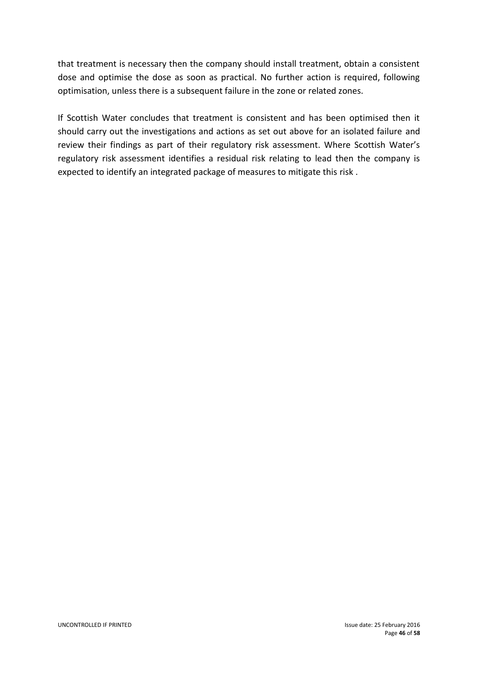that treatment is necessary then the company should install treatment, obtain a consistent dose and optimise the dose as soon as practical. No further action is required, following optimisation, unless there is a subsequent failure in the zone or related zones.

If Scottish Water concludes that treatment is consistent and has been optimised then it should carry out the investigations and actions as set out above for an isolated failure and review their findings as part of their regulatory risk assessment. Where Scottish Water's regulatory risk assessment identifies a residual risk relating to lead then the company is expected to identify an integrated package of measures to mitigate this risk .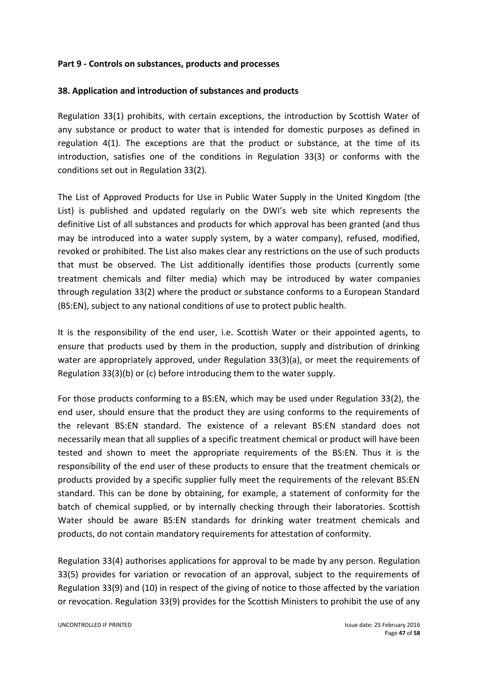#### **Part 9 - Controls on substances, products and processes**

#### **38. Application and introduction of substances and products**

Regulation 33(1) prohibits, with certain exceptions, the introduction by Scottish Water of any substance or product to water that is intended for domestic purposes as defined in regulation 4(1). The exceptions are that the product or substance, at the time of its introduction, satisfies one of the conditions in Regulation 33(3) or conforms with the conditions set out in Regulation 33(2).

The List of Approved Products for Use in Public Water Supply in the United Kingdom (the List) is published and updated regularly on the DWI's web site which represents the definitive List of all substances and products for which approval has been granted (and thus may be introduced into a water supply system, by a water company), refused, modified, revoked or prohibited. The List also makes clear any restrictions on the use of such products that must be observed. The List additionally identifies those products (currently some treatment chemicals and filter media) which may be introduced by water companies through regulation 33(2) where the product or substance conforms to a European Standard (BS:EN), subject to any national conditions of use to protect public health.

It is the responsibility of the end user, i.e. Scottish Water or their appointed agents, to ensure that products used by them in the production, supply and distribution of drinking water are appropriately approved, under Regulation 33(3)(a), or meet the requirements of Regulation 33(3)(b) or (c) before introducing them to the water supply.

For those products conforming to a BS:EN, which may be used under Regulation 33(2), the end user, should ensure that the product they are using conforms to the requirements of the relevant BS:EN standard. The existence of a relevant BS:EN standard does not necessarily mean that all supplies of a specific treatment chemical or product will have been tested and shown to meet the appropriate requirements of the BS:EN. Thus it is the responsibility of the end user of these products to ensure that the treatment chemicals or products provided by a specific supplier fully meet the requirements of the relevant BS:EN standard. This can be done by obtaining, for example, a statement of conformity for the batch of chemical supplied, or by internally checking through their laboratories. Scottish Water should be aware BS:EN standards for drinking water treatment chemicals and products, do not contain mandatory requirements for attestation of conformity.

Regulation 33(4) authorises applications for approval to be made by any person. Regulation 33(5) provides for variation or revocation of an approval, subject to the requirements of Regulation 33(9) and (10) in respect of the giving of notice to those affected by the variation or revocation. Regulation 33(9) provides for the Scottish Ministers to prohibit the use of any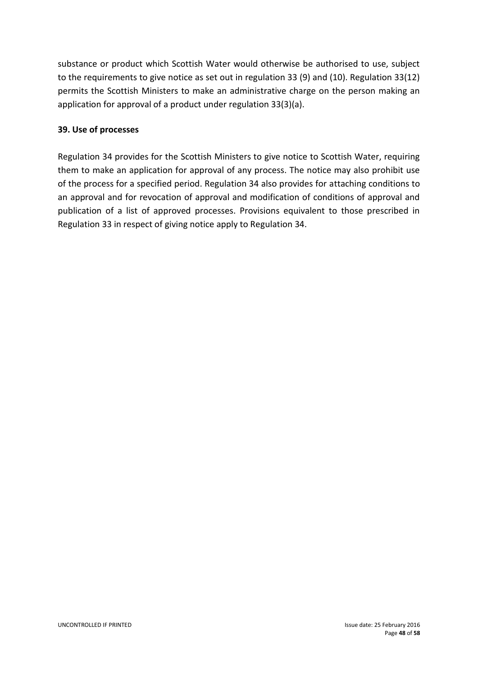substance or product which Scottish Water would otherwise be authorised to use, subject to the requirements to give notice as set out in regulation 33 (9) and (10). Regulation 33(12) permits the Scottish Ministers to make an administrative charge on the person making an application for approval of a product under regulation 33(3)(a).

## **39. Use of processes**

Regulation 34 provides for the Scottish Ministers to give notice to Scottish Water, requiring them to make an application for approval of any process. The notice may also prohibit use of the process for a specified period. Regulation 34 also provides for attaching conditions to an approval and for revocation of approval and modification of conditions of approval and publication of a list of approved processes. Provisions equivalent to those prescribed in Regulation 33 in respect of giving notice apply to Regulation 34.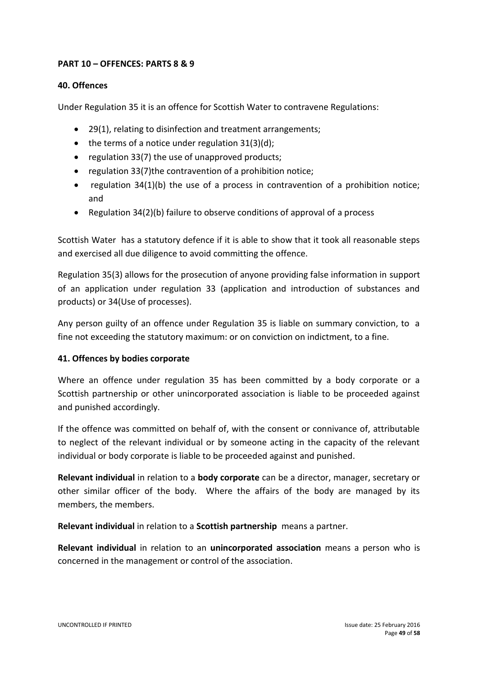#### **PART 10 – OFFENCES: PARTS 8 & 9**

#### **40. Offences**

Under Regulation 35 it is an offence for Scottish Water to contravene Regulations:

- 29(1), relating to disinfection and treatment arrangements;
- $\bullet$  the terms of a notice under regulation 31(3)(d);
- regulation  $33(7)$  the use of unapproved products;
- regulation 33(7)the contravention of a prohibition notice;
- regulation  $34(1)(b)$  the use of a process in contravention of a prohibition notice; and
- Regulation 34(2)(b) failure to observe conditions of approval of a process

Scottish Water has a statutory defence if it is able to show that it took all reasonable steps and exercised all due diligence to avoid committing the offence.

Regulation 35(3) allows for the prosecution of anyone providing false information in support of an application under regulation 33 (application and introduction of substances and products) or 34(Use of processes).

Any person guilty of an offence under Regulation 35 is liable on summary conviction, to a fine not exceeding the statutory maximum: or on conviction on indictment, to a fine.

## **41. Offences by bodies corporate**

Where an offence under regulation 35 has been committed by a body corporate or a Scottish partnership or other unincorporated association is liable to be proceeded against and punished accordingly.

If the offence was committed on behalf of, with the consent or connivance of, attributable to neglect of the relevant individual or by someone acting in the capacity of the relevant individual or body corporate is liable to be proceeded against and punished.

**Relevant individual** in relation to a **body corporate** can be a director, manager, secretary or other similar officer of the body. Where the affairs of the body are managed by its members, the members.

**Relevant individual** in relation to a **Scottish partnership** means a partner.

**Relevant individual** in relation to an **unincorporated association** means a person who is concerned in the management or control of the association.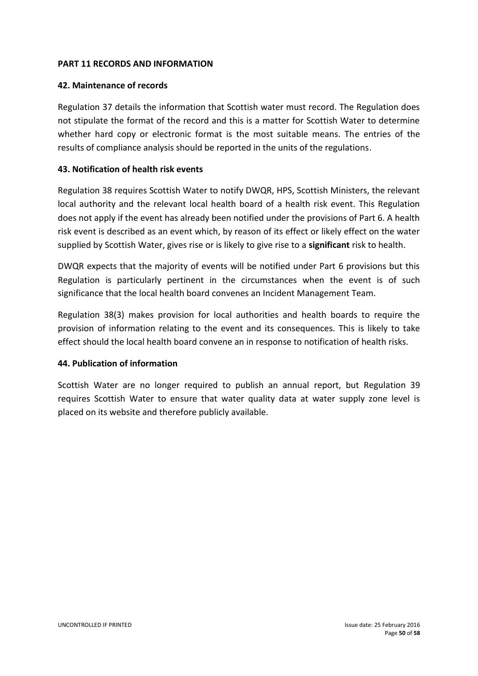#### **PART 11 RECORDS AND INFORMATION**

#### **42. Maintenance of records**

Regulation 37 details the information that Scottish water must record. The Regulation does not stipulate the format of the record and this is a matter for Scottish Water to determine whether hard copy or electronic format is the most suitable means. The entries of the results of compliance analysis should be reported in the units of the regulations.

#### **43. Notification of health risk events**

Regulation 38 requires Scottish Water to notify DWQR, HPS, Scottish Ministers, the relevant local authority and the relevant local health board of a health risk event. This Regulation does not apply if the event has already been notified under the provisions of Part 6. A health risk event is described as an event which, by reason of its effect or likely effect on the water supplied by Scottish Water, gives rise or is likely to give rise to a **significant** risk to health.

DWQR expects that the majority of events will be notified under Part 6 provisions but this Regulation is particularly pertinent in the circumstances when the event is of such significance that the local health board convenes an Incident Management Team.

Regulation 38(3) makes provision for local authorities and health boards to require the provision of information relating to the event and its consequences. This is likely to take effect should the local health board convene an in response to notification of health risks.

#### **44. Publication of information**

Scottish Water are no longer required to publish an annual report, but Regulation 39 requires Scottish Water to ensure that water quality data at water supply zone level is placed on its website and therefore publicly available.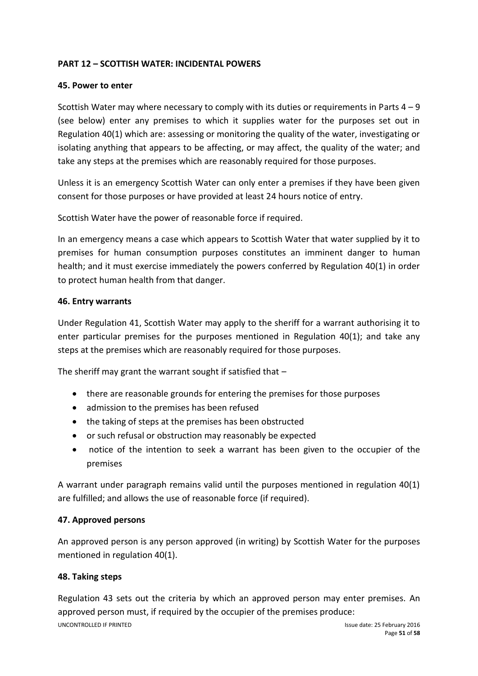## **PART 12 – SCOTTISH WATER: INCIDENTAL POWERS**

#### **45. Power to enter**

Scottish Water may where necessary to comply with its duties or requirements in Parts  $4 - 9$ (see below) enter any premises to which it supplies water for the purposes set out in Regulation 40(1) which are: assessing or monitoring the quality of the water, investigating or isolating anything that appears to be affecting, or may affect, the quality of the water; and take any steps at the premises which are reasonably required for those purposes.

Unless it is an emergency Scottish Water can only enter a premises if they have been given consent for those purposes or have provided at least 24 hours notice of entry.

Scottish Water have the power of reasonable force if required.

In an emergency means a case which appears to Scottish Water that water supplied by it to premises for human consumption purposes constitutes an imminent danger to human health; and it must exercise immediately the powers conferred by Regulation 40(1) in order to protect human health from that danger.

#### **46. Entry warrants**

Under Regulation 41, Scottish Water may apply to the sheriff for a warrant authorising it to enter particular premises for the purposes mentioned in Regulation  $40(1)$ ; and take any steps at the premises which are reasonably required for those purposes.

The sheriff may grant the warrant sought if satisfied that  $-$ 

- there are reasonable grounds for entering the premises for those purposes
- admission to the premises has been refused
- the taking of steps at the premises has been obstructed
- or such refusal or obstruction may reasonably be expected
- notice of the intention to seek a warrant has been given to the occupier of the premises

A warrant under paragraph remains valid until the purposes mentioned in regulation 40(1) are fulfilled; and allows the use of reasonable force (if required).

## **47. Approved persons**

An approved person is any person approved (in writing) by Scottish Water for the purposes mentioned in regulation 40(1).

#### **48. Taking steps**

Regulation 43 sets out the criteria by which an approved person may enter premises. An approved person must, if required by the occupier of the premises produce:

UNCONTROLLED IF PRINTED **International Controller Controller Controller Controller Controller Controller Controller Controller Controller Controller Controller Controller Controller Controller Controller Controller Control**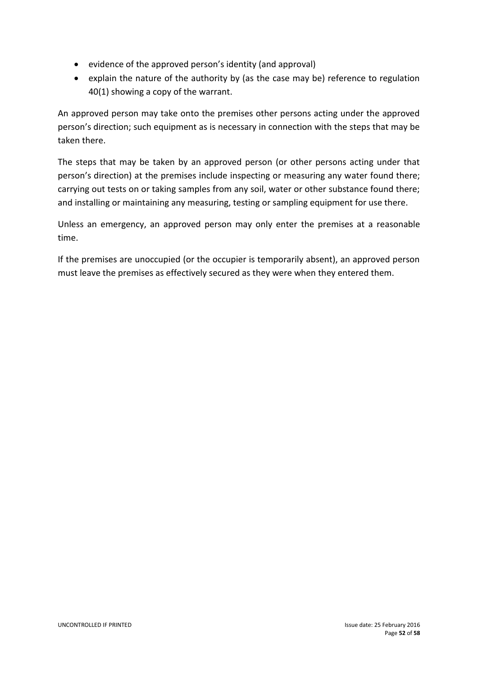- evidence of the approved person's identity (and approval)
- explain the nature of the authority by (as the case may be) reference to regulation 40(1) showing a copy of the warrant.

An approved person may take onto the premises other persons acting under the approved person's direction; such equipment as is necessary in connection with the steps that may be taken there.

The steps that may be taken by an approved person (or other persons acting under that person's direction) at the premises include inspecting or measuring any water found there; carrying out tests on or taking samples from any soil, water or other substance found there; and installing or maintaining any measuring, testing or sampling equipment for use there.

Unless an emergency, an approved person may only enter the premises at a reasonable time.

If the premises are unoccupied (or the occupier is temporarily absent), an approved person must leave the premises as effectively secured as they were when they entered them.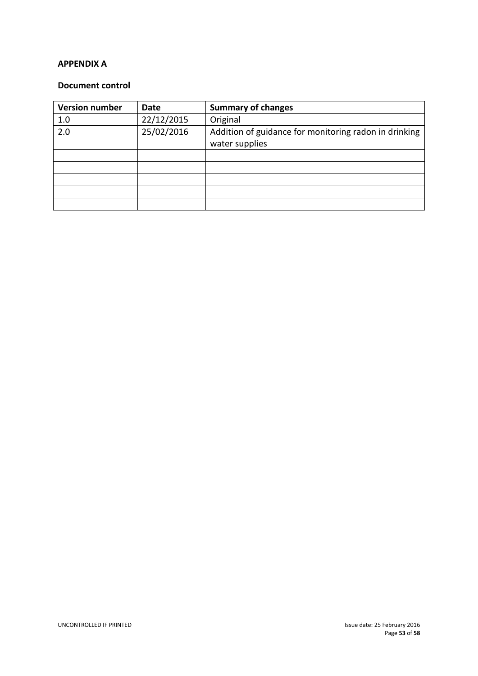#### **APPENDIX A**

#### **Document control**

| <b>Version number</b> | Date       | <b>Summary of changes</b>                             |
|-----------------------|------------|-------------------------------------------------------|
| 1.0                   | 22/12/2015 | Original                                              |
| 2.0                   | 25/02/2016 | Addition of guidance for monitoring radon in drinking |
|                       |            | water supplies                                        |
|                       |            |                                                       |
|                       |            |                                                       |
|                       |            |                                                       |
|                       |            |                                                       |
|                       |            |                                                       |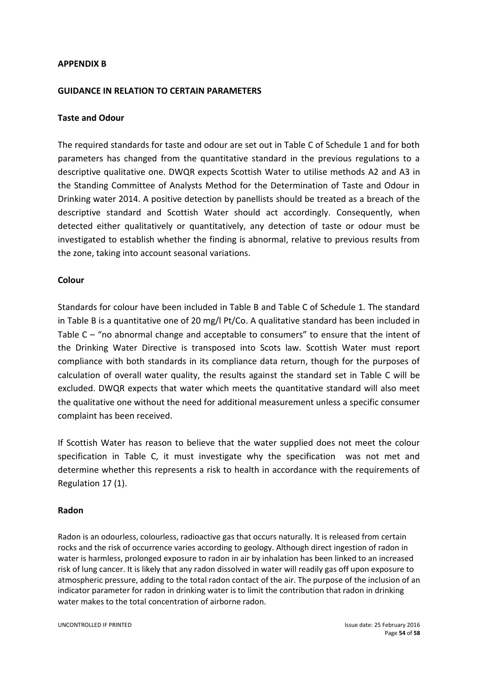#### **APPENDIX B**

#### **GUIDANCE IN RELATION TO CERTAIN PARAMETERS**

#### **Taste and Odour**

The required standards for taste and odour are set out in Table C of Schedule 1 and for both parameters has changed from the quantitative standard in the previous regulations to a descriptive qualitative one. DWQR expects Scottish Water to utilise methods A2 and A3 in the Standing Committee of Analysts Method for the Determination of Taste and Odour in Drinking water 2014. A positive detection by panellists should be treated as a breach of the descriptive standard and Scottish Water should act accordingly. Consequently, when detected either qualitatively or quantitatively, any detection of taste or odour must be investigated to establish whether the finding is abnormal, relative to previous results from the zone, taking into account seasonal variations.

#### **Colour**

Standards for colour have been included in Table B and Table C of Schedule 1. The standard in Table B is a quantitative one of 20 mg/l Pt/Co. A qualitative standard has been included in Table C – "no abnormal change and acceptable to consumers" to ensure that the intent of the Drinking Water Directive is transposed into Scots law. Scottish Water must report compliance with both standards in its compliance data return, though for the purposes of calculation of overall water quality, the results against the standard set in Table C will be excluded. DWQR expects that water which meets the quantitative standard will also meet the qualitative one without the need for additional measurement unless a specific consumer complaint has been received.

If Scottish Water has reason to believe that the water supplied does not meet the colour specification in Table C, it must investigate why the specification was not met and determine whether this represents a risk to health in accordance with the requirements of Regulation 17 (1).

#### **Radon**

Radon is an odourless, colourless, radioactive gas that occurs naturally. It is released from certain rocks and the risk of occurrence varies according to geology. Although direct ingestion of radon in water is harmless, prolonged exposure to radon in air by inhalation has been linked to an increased risk of lung cancer. It is likely that any radon dissolved in water will readily gas off upon exposure to atmospheric pressure, adding to the total radon contact of the air. The purpose of the inclusion of an indicator parameter for radon in drinking water is to limit the contribution that radon in drinking water makes to the total concentration of airborne radon.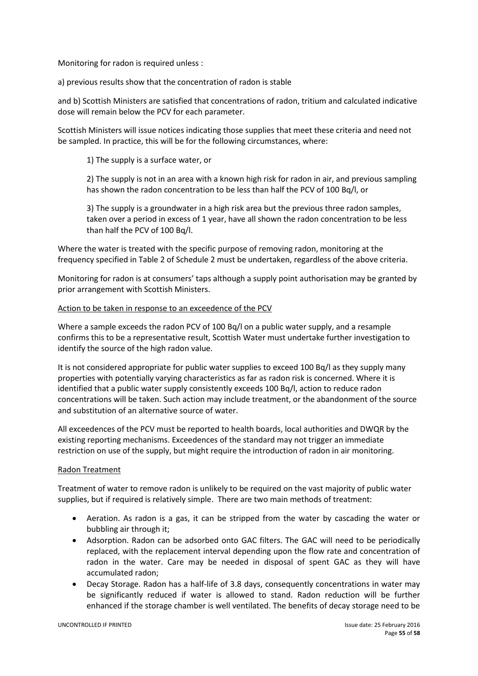Monitoring for radon is required unless :

a) previous results show that the concentration of radon is stable

and b) Scottish Ministers are satisfied that concentrations of radon, tritium and calculated indicative dose will remain below the PCV for each parameter.

Scottish Ministers will issue notices indicating those supplies that meet these criteria and need not be sampled. In practice, this will be for the following circumstances, where:

1) The supply is a surface water, or

2) The supply is not in an area with a known high risk for radon in air, and previous sampling has shown the radon concentration to be less than half the PCV of 100 Bq/l, or

3) The supply is a groundwater in a high risk area but the previous three radon samples, taken over a period in excess of 1 year, have all shown the radon concentration to be less than half the PCV of 100 Bq/l.

Where the water is treated with the specific purpose of removing radon, monitoring at the frequency specified in Table 2 of Schedule 2 must be undertaken, regardless of the above criteria.

Monitoring for radon is at consumers' taps although a supply point authorisation may be granted by prior arrangement with Scottish Ministers.

#### Action to be taken in response to an exceedence of the PCV

Where a sample exceeds the radon PCV of 100 Bq/l on a public water supply, and a resample confirms this to be a representative result, Scottish Water must undertake further investigation to identify the source of the high radon value.

It is not considered appropriate for public water supplies to exceed 100 Bq/l as they supply many properties with potentially varying characteristics as far as radon risk is concerned. Where it is identified that a public water supply consistently exceeds 100 Bq/l, action to reduce radon concentrations will be taken. Such action may include treatment, or the abandonment of the source and substitution of an alternative source of water.

All exceedences of the PCV must be reported to health boards, local authorities and DWQR by the existing reporting mechanisms. Exceedences of the standard may not trigger an immediate restriction on use of the supply, but might require the introduction of radon in air monitoring.

#### Radon Treatment

Treatment of water to remove radon is unlikely to be required on the vast majority of public water supplies, but if required is relatively simple. There are two main methods of treatment:

- Aeration. As radon is a gas, it can be stripped from the water by cascading the water or bubbling air through it;
- Adsorption. Radon can be adsorbed onto GAC filters. The GAC will need to be periodically replaced, with the replacement interval depending upon the flow rate and concentration of radon in the water. Care may be needed in disposal of spent GAC as they will have accumulated radon;
- Decay Storage. Radon has a half-life of 3.8 days, consequently concentrations in water may be significantly reduced if water is allowed to stand. Radon reduction will be further enhanced if the storage chamber is well ventilated. The benefits of decay storage need to be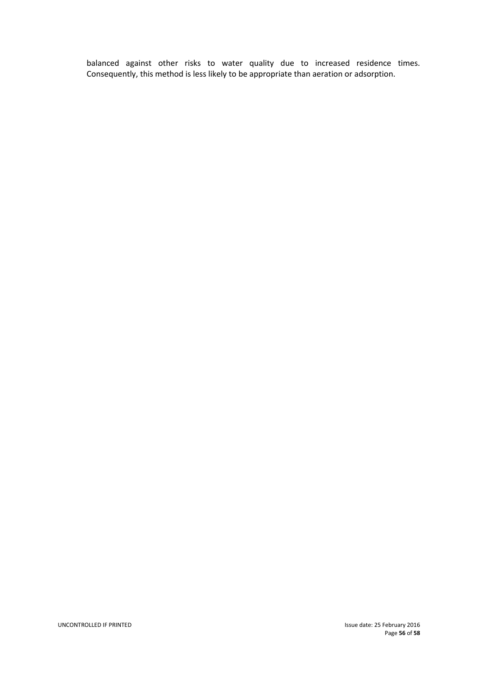balanced against other risks to water quality due to increased residence times. Consequently, this method is less likely to be appropriate than aeration or adsorption.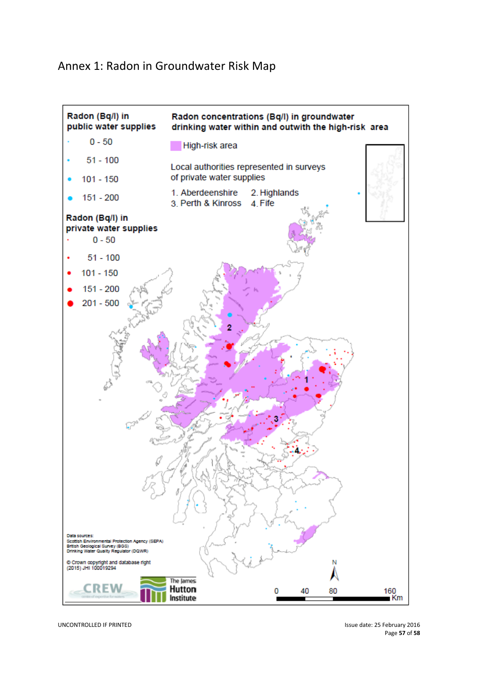# Annex 1: Radon in Groundwater Risk Map